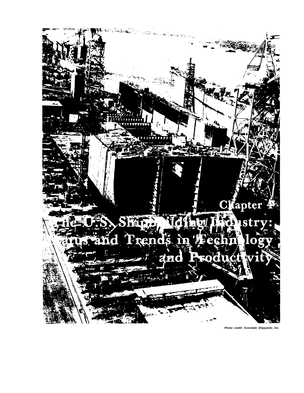

**Photo credit: Avonda/e Shipyards, Inc.**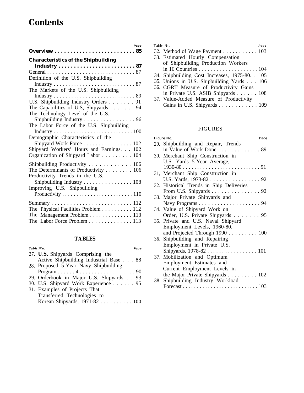# **Contents**

| Page                                       |
|--------------------------------------------|
|                                            |
| <b>Characteristics of the Shipbuilding</b> |
|                                            |
|                                            |
| Definition of the U.S. Shipbuilding        |
|                                            |
| The Markets of the U.S. Shipbuilding       |
|                                            |
| U.S. Shipbuilding Industry Orders 91       |
| The Capabilities of U.S, Shipyards 94      |
| The Technology Level of the U.S.           |
| Shipbuilding Industry 96                   |
| The Labor Force of the U.S. Shipbuilding   |
|                                            |
| Demographic Characteristics of the         |
| Shipyard Work Force 102                    |
| Shipyard Workers' Hours and Earnings. 102  |
| Organization of Shipyard Labor 104         |
| Shipbuilding Productivity 106              |
| The Determinants of Productivity 106       |
| Productivity Trends in the U.S.            |
| Shipbuilding Industry 108                  |
| Improving U.S. Shipbuilding                |
|                                            |
|                                            |
|                                            |
| The Physical Facilities Problem 112        |
| The Management Problem 113                 |
| The Labor Force Problem 113                |

## **TABLES**

| Tablt'N'o.<br>Page                       |
|------------------------------------------|
| 27. U.S. Shipyards Comprising the        |
| Active Shipbuilding Industrial Base 88   |
| 28. Proposed 5-Year Navy Shipbuilding    |
|                                          |
| 29. Orderbook in Major U.S. Shipyards 93 |
| 30. U.S. Shipyard Work Experience 95     |
| 31. Examples of Projects That            |
| Transferred Technologies to              |
| Korean Shipyards, 1971-82 100            |

| Table No.                                       | Page |
|-------------------------------------------------|------|
| 32. Method of Wage Payment 103                  |      |
| 33. Estimated Hourly Compensation               |      |
| of Shipbuilding Production Workers              |      |
|                                                 |      |
| 34. Shipbuilding Cost Increases, 1975-80. . 105 |      |
| 35. Unions in U.S. Shipbuilding Yards 106       |      |
| 36. CGRT Measure of Productivity Gains          |      |
| in Private U.S. ASIB Shipyards 108              |      |
| 37. Value-Added Measure of Productivity         |      |

# FIGURES

Gains in U.S. Shipyards . . . . . . . . . . . . 109

| Figure No.<br>Page                                            |
|---------------------------------------------------------------|
| 29. Shipbuilding and Repair, Trends                           |
| in Value of Work Done 89                                      |
| 30. Merchant Ship Construction in                             |
| U.S. Yards 5-Year Average,                                    |
|                                                               |
| 31, Merchant Ship Construction in                             |
| U.S. Yards, 1973-82 92                                        |
| 32. Historical Trends in Ship Deliveries                      |
| From U.S. Shipyards $\ldots \ldots \ldots \ldots \ldots$ . 92 |
| 33. Major Private Shipyards and                               |
|                                                               |
| 34. Value of Shipyard Work on                                 |
| Order, U.S. Private Shipyards 95                              |
| 35. Private and U.S. Naval Shipyard                           |
| Employment Levels, 1960-80,                                   |
| and Projected Through $1990$ $100$                            |
| 36. Shipbuilding and Repairing                                |
| Employment in Private U.S.                                    |
|                                                               |
| 37. Mobilization and Optimum                                  |
| Employment Estimates and                                      |
| Current Employment Levels in                                  |
| the Major Private Shipyards $\ldots \ldots \ldots 102$        |
| 38. Shipbuilding Industry Workload                            |
|                                                               |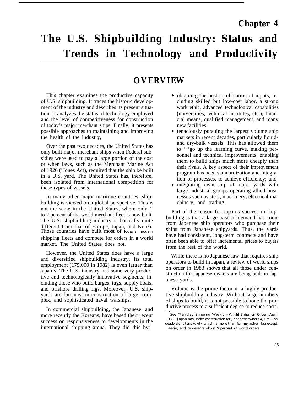# **The U.S. Shipbuilding Industry: Status and Trends in Technology and Productivity**

# **OVERVIEW**

This chapter examines the productive capacity of U.S. shipbuilding. It traces the historic development of the industry and describes its present situation. It analyzes the status of technology employed and the level of competitiveness for construction of today's major merchant ships. Finally, it presents possible approaches to maintaining and improving the health of the industry,

Over the past two decades, the United States has only built major merchant ships when Federal subsidies were used to pay a large portion of the cost or when laws, such as the Merchant Marine Act of 1920 ('Jones Act), required that the ship be built in a U.S. yard. The United States has, therefore, been isolated from international competition for these types of vessels.

In many other major maritime countries, shipbuilding is viewed on a global perspective. This is not the same in the United States, where only 1 to 2 percent of the world merchant fleet is now built. The U.S. shipbuilding industry is basically quite different from that of Europe, Japan, and Korea. Those countries have built most of today's modern shipping fleets and compete for orders in a world market. The United States does not.

However, the United States does have a large and diversified shipbuilding industry. Its total employment (175,000 in 1982) is even larger than Japan's. The U.S. industry has some very productive and technologically innovative segments, including those who build barges, tugs, supply boats, and offshore drilling rigs. Moreover, U.S. shipyards are foremost in construction of large, complex, and sophisticated naval warships.

In commercial shipbuilding, the Japanese, and more recently the Koreans, have based their recent success on responsiveness to developments in the international shipping arena. They did this by:

- obtaining the best combination of inputs, including skilled but low-cost labor, a strong work ethic, advanced technological capabilities (universities, technical institutes, etc.), financial means, qualified management, and many new facilities;
- tenaciously pursuing the largest volume ship markets in recent decades, particularly liquidand dry-bulk vessels. This has allowed them to ' 'go up the learning curve, making personnel and technical improvements, enabling them to build ships much more cheaply than their rivals. A key aspect of their improvement program has been standardization and integration of processes, to achieve efficiency; and
- integrating ownership of major yards with large industrial groups operating allied businesses such as steel, machinery, electrical machinery, and trading.

Part of the reason for Japan's success in shipbuilding is that a large base of demand has come from Japanese ship operators who purchase their ships from Japanese shipyards. Thus, the yards have had consistent, long-term contracts and have often been able to offer incremental prices to buyers from the rest of the world.

While there is no Japanese law that requires ship operators to build in Japan, a review of world ships on order in 1983 shows that all those under construction for Japanese owners are being built in Japanese yards.

Volume is the prime factor in a highly productive shipbuilding industry. Without large numbers of ships to build, it is not possible to hone the productive process to a sufficient degree to reduce costs.

<sup>&#</sup>x27;See ''Fairplay Shipping W'cckly-World Ships on Order, April 1983—Japan has under construction for Japanese owners **4,7** million deadweight tons (dwt), which is more than for any other flag except Liberia, and represents about 9 percent of world orders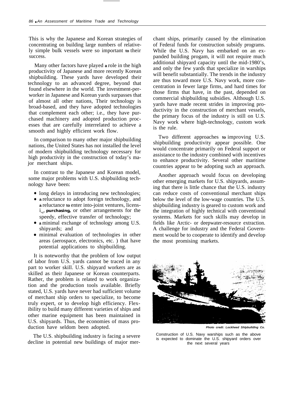This is why the Japanese and Korean strategies of concentrating on building large numbers of relatively simple bulk vessels were so important **to** their success.

Many other factors have played **a** role in the high productivity of Japanese and more recently Korean shipbuilding. These yards have developed their technology to an advanced degree, beyond that found elsewhere in the world. The investment-perworker in Japanese and Korean yards surpasses that of almost all other nations, Their technology is broad-based, and they have adopted technologies that complement each other; i.e., they have purchased machinery and adopted production processes that are carefully interrelated to achieve a smooth and highly efficient work flow.

In comparison to many other major shipbuilding nations, the United States has not installed the level of modern shipbuilding technology necessary for high productivity in the construction of today's major merchant ships.

In contrast to the Japanese and Korean model, some major problems with U.S. shipbuilding technology have been:

- long delays in introducing new technologies;
- **a** reluctance to adopt foreign technology, and **a** reluctance **to** enter into-joint ventures, licens $i_{n}$ , **purchasing**, or other arrangements for the speedy, effective transfer of technology;
- **a** minimal exchange of technology among U.S. shipyards; and
- minimal evaluation of technologies in other areas (aerospace, electronics, etc. ) that have potential applications to shipbuilding.

It is noteworthy that the problem of low output of labor from U.S. yards cannot be traced in any part to worker skill. U.S. shipyard workers are as skilled as their Japanese or Korean counterparts. Rather, the problem is related to work organization and the production tools available. Briefly stated, U.S. yards have never had sufficient volume of merchant ship orders to specialize, to become truly expert, or to develop high efficiency. Flexibility to build many different varieties of ships and other marine equipment has been maintained in U.S. shipyards. Thus, the economies of mass production have seldom been adopted.

The U.S. shipbuilding industry is facing a severe decline in potential new buildings of major merchant ships, primarily caused by the elimination of Federal funds for construction subsidy programs. While the U.S. Navy has embarked on an expanded building progam, it will not require much additional shipyard capacity until the mid-1980's, and only the few yards that specialize in warships will benefit substantially. The trends in the industry are thus toward more U.S. Navy work, more concentration in fewer large firms, and hard times for those firms that have, in the past, depended on commercial shipbuilding subsidies. Although U.S. yards have made recent strides in improving productivity in the construction of merchant vessels, the primary focus of the industry is still on U.S. Navy work where high-technology, custom work is the rule.

Two different approaches **to** improving U.S. shipbuilding productivity appear possible. One would concentrate primarily on Federal support or assistance to the industry combined with incentives to enhance productivity. Several other maritime countries appear to be adopting such an approach.

Another approach would focus on developing other emerging markets for U.S. shipyards, assuming that there is little chance that the U.S. industry can reduce costs of conventional merchant ships below the level of the low-wage countries. The U.S. shipbuilding industry is geared to custom work and the integration of highly technical with conventional systems. Markets for such skills may develop in fields like Arctic- or deepwater-resource extraction. A challenge for industry and the Federal Government would be to cooperate to identify and develop the most promising markets.



**Photo credt: Lockheed Shlpbulldlng Co.**

Construction of U.S. Navy warships such as the above is expected to dominate the U.S. shipyard orders over the next several years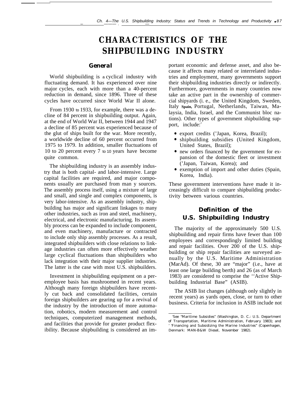# **CHARACTERISTICS OF THE SHIPBUILDING INDUSTRY**

### *General*

World shipbuilding is a cyclical industry with fluctuating demand. It has experienced over nine major cycles, each with more than a 40-percent reduction in demand, since 1896. Three of these cycles have occurred since World War II alone.

From 1930 to 1933, for example, there was a decline of 84 percent in shipbuilding output. Again, at the end of World War II, between 1944 and 1947 a decline of 85 percent was experienced because of the glut of ships built for the war. More recently, a worldwide decline of 60 percent occurred from 1975 to 1979. In addition, smaller fluctuations of 10 to 20 percent every 7 to 10 years have become quite common.

The shipbuilding industry is an assembly industry that is both capital- and labor-intensive. Large capital facilities are required, and major components usually are purchased from man y sources. The assembly process itself, using a mixture of large and small, and single and complex components, is very labor-intensive. As an assembly industry, shipbuilding has major and significant linkages to many other industries, such as iron and steel, machinery, electrical, and electronic manufacturing. Its assembly process can be expanded to include component, and even machinery, manufacture or contracted to include only ship assembly processes. As a result, integrated shipbuilders with close relations to linkage industries can often more effectively weather large cyclical fluctuations than shipbuilders who lack integration with their major supplier industries. The latter is the case with most U.S. shipbuilders.

Investment in shipbuilding equipment on a peremployee basis has mushroomed in recent years. Although many foreign shipbuilders have recently cut back and consolidated facilities, certain foreign shipbuilders are gearing up for a revival of the industry by the introduction of more automation, robotics, modern measurement and control techniques, computerized management methods, and facilities that provide for greater product flexibility. Because shipbuilding is considered an important economic and defense asset, and also because it affects many related or interrelated industries and employment, many governments support their shipbuilding industries directly or indirectly. Furthermore, governments in many countries now take an active part in the ownership of commercial shipyards (i. e., the United Kingdom, Sweden, Italy **Spain,** Portugal, Netherlands, Taiwan, Malaysia, India, Israel, and the Communist bloc nations). Other types of government shipbuilding support, include:<sup>2</sup>

- export credits ('Japan, Korea, Brazil);
- shipbuilding subsidies (United Kingdom, United States, Brazil);
- new orders financed by the government for expansion of the domestic fleet or investment ('Japan, Taiwan, Korea); and
- exemption of import and other duties (Spain, Korea, India).

These government interventions have made it increasingly difficult to compare shipbuilding productivity between various countries.

## *Definition of the U.S. Shipbuilding Industry*

The majority of the approximately 500 U.S. shipbuilding and repair firms have fewer than 100 employees and correspondingly limited building and repair facilities. Over 200 of the U.S. shipbuilding or ship repair facilities are surveyed annually by the U.S. Maritime Administration (MarAd). Of these, 30 are "major" (i.e., have at least one large building berth) and 26 (as of March 1983) are considered to comprise the ''Active Shipbuilding Industrial Base" (ASIB).

The ASIB list changes (although only slightly in recent years) as yards open, close, or turn to other business. Criteria for inclusion in ASIB include not

<sup>&#</sup>x27;See "Maritime Subsidies" (Washington, D. C.: U.S. Department of Transportation, Maritime Administration, February 1983); and

<sup>&#</sup>x27; 'Financing and Subsidizing the Marine Industries" (Copenhagen, Denmark: MAN-B&W Diesel, November 1982).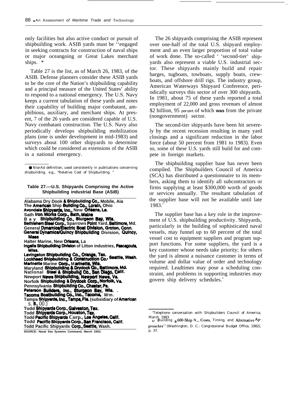only facilities but also active conduct or pursuit of shipbuilding work. ASIB yards must be ''engaged in seeking contracts for construction of naval ships or major oceangoing or Great Lakes merchant ships. \*

Table 27 is the list, as of March 26, 1983, of the ASIB. Defense planners consider these ASIB yards to be the core of the Nation's shipbuilding capability and a principal measure of the United States' ability to respond to a national emergency. The U.S. Navy keeps a current tabulation of these yards and notes their capability of building major combatant, amphibious, auxiliary, and merchant ships. At present, 7 of the 26 yards are considered capable of U.S. Navy combatant construction. The U.S. Navy also periodically develops shipbuilding mobilization plans (one is under development in mid-1983) and surveys about 100 other shipyards to determine which could be considered as extensions of the ASIB in a national emergency.

**Table 27.—U.S. Shipyards Comprising the Active Shipbuilding industrial Base (ASiB)**

Alabama Dry Dook & Shipbuilding Co., Mobile, Aia<br>The **American** Ship **Building Co., Lorain,** Ohio<br>Avondale Shipyarde, Inc., New Orleans, La.<br>Sath Iron.Works Corp., Bath, Maine **B** a y Shipbuilding Co., Sturgeon Bay, Wis. **Bethiehem Steel Corp., Sparrows Point Yard, Baltimore, Md.<br>General <b>Dynamica/Electric Boat Division, Groton, Conn.**  $\alpha$  **General Dynamics/Quincy Shipbuilding** Division, Quincy, Maas. **Halter Marine, New Orleans, La ingalls Shipbuilding Division of Litton industries, Pascagoula,** Miss. **Levingston Shipbuilding Co., Orange, Tex. Lookheed Shipbuilding & Construction Co., Seattle, Wash.** 

**Marinette Marine Corp., Marinette, Wis.<br>Maryland <b>Shipbuilding & Drydock Co., Baltimore, Md.**<br>National Steel & Shipbuing Co., San Diago, Calif. **National Shippunding & Brydoor Co., San Mago, Call**<br>National Steel & Shipbullding, Newport News, Va.<br>Norfolk Shipbullding & Drydock Corp., Norfolk, Va.

**Pennsylvania Shipbuilding Co., Chester, Pa. Pennsylvania Shipbuilding Co., Chester, Pa.**<br>Peterson Builders, Inc., Sturgeon Bay, Wis.<br>Tacoma Boatbuilding Co., Inc., Tacoma, Wm.

**Tampa Shipyards, Inc., Tampa, Fia.** (subsidiary of American s. **B.,** 00.

**Todd Pacific Shipyards Corp., Los Angeles, Calif.** 

 $T$ odd **Pacific Shipyards Corp., San Francisco, Calif.** 

**Todd Pacific Shipyards Oorp., Sedtie, Wash.**

The 26 shipyards comprising the ASIB represent over one-half of the total U.S. shipyard employment and an even larger proportion of total value of work done. The so-called ' 'second-tier' shipyards also represent a viable U.S. industrial sector. These shipyards mainly build and repair barges, tugboats, towboats, supply boats, crewboats, and offshore drill rigs. The industry group, American Waterways Shipyard Conference, periodically surveys this sector of over 300 shipyards. In 1981, about 75 of these yards reported a total employment of 22,000 and gross revenues of almost \$2 billion, 95 percent of which **was** from the private (nongovernment) sector.

. .

The second-tier shipyards have been hit severely by the recent recession resulting in many yard closings and a significant reduction in the labor force (about 50 percent from 1981 to 1983). Even so, some of these U.S. yards still build for and compete in foreign markets.

The shipbuilding supplier base has never been compiled. The Shipbuilders Council of America (SCA) has distributed a questionnaire to its members, asking them to identify all subcontractors or firms supplying at least \$300,000 worth of goods or services annually. The resultant tabulation of the supplier base will not be available until late 1983.

The supplier base has a key role in the improvement of U.S. shipbuilding productivity. Shipyards, particularly in the building of sophisticated naval vessels, may funnel up to 60 percent of the total vessel cost to equipment suppliers and program support functions. For some suppliers, the yard is a key customer whose needs take priority; for others the yard is almost a nuisance customer in terms of volume and dollar value of order and technology required. Leadtimes may pose a scheduling constraint, and problems in supporting industries may govern ship delivery schedules.<sup>4</sup>

<sup>●</sup> NlarAd definition, used consistently in publications concerning shipbuilding, e.g., "Relative Cost of Shipbuilding.

**Todd \$h{pyards ~rp., GalveetOn, ~OX.**

**Todd Shipyu'da OorP., Hou@?n, TQX~**

**SOURCE: Naval Sea Systems Command, March 19S3.**

<sup>&#</sup>x27;Telephone conversation with Shipbuilders Council of America, March 1983.<br>4. {Building <sub>a</sub> 600-Ship N<sub>ave</sub> Costs, Timing, and Alternative Ap-

proaches" (Washington, D. C.: Congressional Budget Office, 1982), p. 37.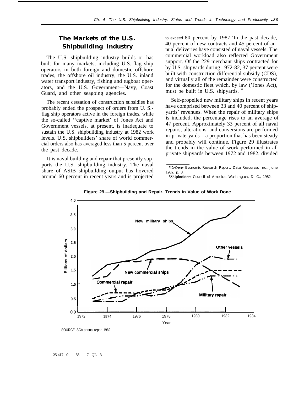# *The Markets of the U.S. Shipbuilding Industry*

The U.S. shipbuilding industry builds or has built for many markets, including U.S.-flag ship operators in both foreign and domestic offshore trades, the offshore oil industry, the U.S. inland water transport industry, fishing and tugboat operators, and the U.S. Government—Navy, Coast Guard, and other seagoing agencies.

The recent cessation of construction subsidies has probably ended the prospect of orders from U. S. flag ship operators active in the foreign trades, while the so-called ''captive market' of Jones Act and Government vessels, at present, is inadequate to sustain the U.S. shipbuilding industry at 1982 work levels. U.S. shipbuilders' share of world commercial orders also has averaged less than 5 percent over the past decade.

It is naval building and repair that presently supports the U.S. shipbuilding industry. The naval share of ASIB shipbuilding output has hovered around 60 percent in recent years and is projected to exceed 80 percent by  $1987$ .<sup>5</sup>In the past decade, 40 percent of new contracts and 45 percent of annual deliveries have consisted of naval vessels. The commercial workload also reflected Government support. Of the 229 merchant ships contracted for by U.S. shipyards during 1972-82, 37 percent were built with construction differential subsidy (CDS), and virtually all of the remainder were constructed for the domestic fleet which, by law ('Jones Act), must be built in U.S. shipyards.

Self-propelled new military ships in recent years have comprised between 33 and 40 percent of shipyards' revenues. When the repair of military ships is included, the percentage rises to an average of 47 percent. Approximately 33 percent of all naval repairs, alterations, and conversions are performed in private yards—a proportion that has been steady and probably will continue. Figure 29 illustrates the trends in the value of work performed in all private shipyards between 1972 and 1982, divided

<sup>%</sup>Shipbuilders Council of America, Washington, D. C., 1982.



**Figure 29.—Shipbuilding and Repair, Trends in Value of Work Done**

25-417 0 - 83 - 7 QL 3

<sup>5</sup>Defense Economic Research Report, Data Resources Inc., June 1982, p. 3.

SOURCE. SCA annual report 1982.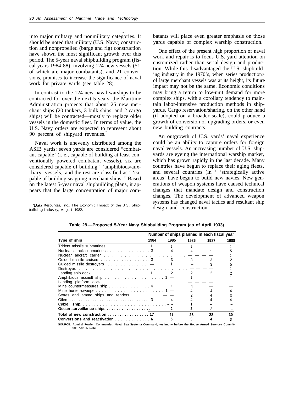$\ddot{\bullet}$ into major military and nonmilitary categories. It should be noted that military (U.S. Navy) construction and nonpropelled (barge and rig) construction have shown the most significant growth over this period. The 5-year naval shipbuilding program (fiscal years 1984-88), involving 124 new vessels (51 of which are major combatants), and 21 conversions, promises to increase the significance of naval work for private yards (see table 28).

In contrast to the 124 new naval warships to be contracted for over the next 5 years, the Maritime Administration projects that about 25 new merchant ships (20 tankers, 3 bulk ships, and 2 cargo ships) will be contracted—mostly to replace older vessels in the domestic fleet. In terms of value, the U.S. Navy orders are expected to represent about 90 percent of shipyard revenues.<sup>7</sup>

Naval work is unevenly distributed among the ASIB yards: seven yards are considered "combatant capable' (i. e., capable of building at least conventionally powered combatant vessels), six are considered capable of building ' 'amphibious/auxiliary vessels, and the rest are classified as ' 'capable of building seagoing merchant ships. " Based on the latest 5-year naval shipbuilding plans, it appears that the large concentration of major com-

7Data Resources, Inc., *The Economic Impact of the U.S. Shipbuilding Industry,* August 1982.

batants will place even greater emphasis on those yards capable of complex warship construction.

One effect of the present high proportion of naval work and repair is to focus U.S. yard attention on customized rather than serial design and production. While this disadvantaged the U.S. shipbuilding industry in the 1970's, when series production> of large merchant vessels was at its height, its future impact may not be the same. Economic conditions may bring a return to low-unit demand for more complex ships, with a corollary tendency to maintain labor-intensive production methods in shipyards. Cargo reservation/sharing, on the other hand (if adopted on a broader scale), could produce a growth of conversion or upgrading orders, or even new building contracts.

An outgrowth of U.S. yards' naval experience could be an ability to capture orders for foreign naval vessels. An increasing number of U.S. shipyards are eyeing the international warship market, which has grown rapidly in the last decade. Many countries have begun to replace their aging fleets, and several countries (in ' 'strategically active areas' have begun to build new navies. New generations of weapon systems have caused technical changes that mandate design and construction changes. The development of advanced weapon systems has changed naval tactics and resultant ship design and construction.

|                                                                     | Number of ships planned in each fiscal year |                |      |      |      |  |
|---------------------------------------------------------------------|---------------------------------------------|----------------|------|------|------|--|
| Type of ship                                                        | 1984                                        | 1985           | 1986 | 1987 | 1988 |  |
| Trident missile submarines 1                                        |                                             |                |      |      |      |  |
| Nuclear attack submarines 3                                         |                                             |                |      |      |      |  |
|                                                                     |                                             |                |      |      |      |  |
| Guided missile cruisers 3                                           |                                             |                |      |      |      |  |
| Guided missile destroyers $\dots\dots\dots\dots\dots\dots\dots$     |                                             |                |      |      |      |  |
|                                                                     |                                             |                |      |      |      |  |
|                                                                     |                                             | $\overline{2}$ |      |      |      |  |
| Amphibious assault ship $\ldots \ldots \ldots \ldots \ldots$        |                                             |                |      |      |      |  |
|                                                                     |                                             |                |      |      |      |  |
| Mine countermeasures ship $\dots \dots \dots \dots$                 |                                             |                |      |      |      |  |
|                                                                     |                                             |                |      |      |      |  |
| Stores and ammo ships and tenders $\dots$ $\dots$                   |                                             |                |      |      |      |  |
|                                                                     |                                             |                |      |      |      |  |
|                                                                     |                                             |                |      |      |      |  |
| Ocean surveillance ships -                                          |                                             |                |      |      |      |  |
| Total of new construction $\ldots \ldots \ldots \ldots \ldots$ . 17 |                                             | 21             | 28   | 28   | 30   |  |
| Conversions and reactivation 6                                      |                                             |                |      |      |      |  |

**Table 28.—Proposed 5-Year Navy Shipbuilding Program (as of April 1933)**

**SOURCE: Admiral Fowler, Commander, Naval Sea Systema Command, testimony before the House Armed Servicea Committee, Apr. 5, 1983.**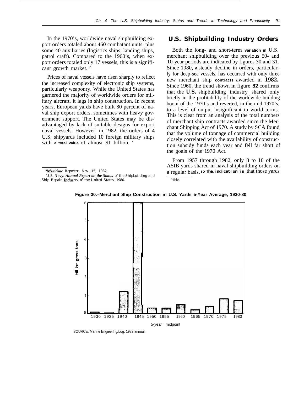In the 1970's, worldwide naval shipbuilding export orders totaled about 460 combatant units, plus some 40 auxiliaries (logistics ships, landing ships, patrol craft). Compared to the 1960's, when export orders totaled only 17 vessels, this is a significant growth market.

Prices of naval vessels have risen sharply to reflect the increased complexity of electronic ship systems, particularly weaponry. While the United States has garnered the majority of worldwide orders for military aircraft, it lags in ship construction. In recent years, European yards have built 80 percent of naval ship export orders, sometimes with heavy government support. The United States may be disadvantaged by lack of suitable designs for export naval vessels. However, in 1982, the orders of 4 U.S. shipyards included 10 foreign military ships with **a total value** of almost \$1 billion. <sup>8</sup>

### *U.S. Shipbuilding Industry Orders*

Both the long- and short-term **variation in** U.S. merchant shipbuilding over the previous 50- and 10-year periods are indicated by figures 30 and 31. Since 1980, **a** steady decline in orders, particularly for deep-sea vessels, has occurred with only three new merchant ship **contracts** awarded in **1982.** Since 1960, the trend shown in figure **32** confirms that the **U.S.** shipbuilding industry shared only briefly in the profitability of the worldwide building boom of the 1970's and reverted, in the mid-1970's, to a level of output insignificant in world terms. This is clear from an analysis of the total numbers of merchant ship contracts awarded since the Merchant Shipping Act of 1970. A study by SCA found that the volume of tonnage of commercial building closely correlated with the availability of construction subsidy funds each year and fell far short of the goals of the 1970 Act.

From 1957 through 1982, only 8 to 10 of the ASIB yards shared in naval shipbuilding orders on a regular basis. **IO Thee indication is** that those yards '"Ibid.



**Figure 30.–Merchant Ship Construction in U.S. Yards 5-Year Average, 1930-80**

SOURCE: Marine Engieerlng/Log, 1982 annual.

<sup>&</sup>lt;sup>8</sup>Maritime Reporter, Nov. 15, 1982.

<sup>&#</sup>x27;U.S. Navy, *Annual Report on the Status of the Shipbuilding and Ship Repair Industry of the United States, 1980.*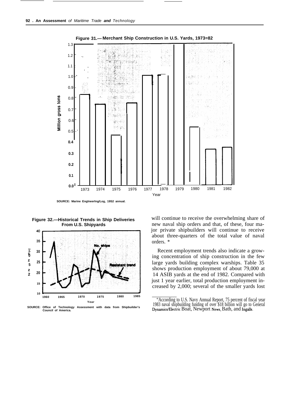

**Figure 32.—Historical Trends in Ship Deliveries From U.S. Shipyards**



**SOURCE: Council of America. Office of Technology Assessment with data from Shipbuilder's**

will continue to receive the overwhelming share of new naval ship orders and that, of these, four major private shipbuilders will continue to receive about three-quarters of the total value of naval orders. \*

Recent employment trends also indicate a growing concentration of ship construction in the few large yards building complex warships. Table 35 shows production employment of about 79,000 at 14 ASIB yards at the end of 1982. Compared with just 1 year earlier, total production employment increased by 2,000; several of the smaller yards lost

<sup>&</sup>quot;According to U.S. Navy Annual Report, 75 percent of fiscal year 1983 naval shipbuilding funding of over \$18 billion will go to General Dynamics/Electric Boat, Newport News, Bath, and Ingalls.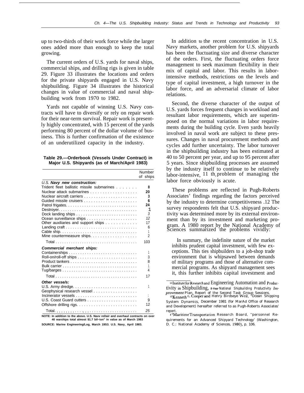up to two-thirds of their work force while the larger ones added more than enough to keep the total growing.

The current orders of U.S. yards for naval ships, commercial ships, and drilling rigs is given in table 29. Figure 33 illustrates the locations and orders for the private shipyards engaged in U.S. Navy shipbuilding. Figure 34 illustrates the historical changes in value of commercial and naval shipbuilding work from 1970 to 1982.

Yards not capable of winning U.S. Navy contracts will have to diversify or rely on repair work for their near-term survival. Repair work is presently highly concentrated, with 15 percent of the yards performing 80 percent of the dollar volume of business. This is further confirmation of the existence of an underutilized capacity in the industry.

| Table 29.-Orderbook (Vessels Under Contract) in |  |  |
|-------------------------------------------------|--|--|
| Major U.S. Shipyards (as of March/April 1983)   |  |  |

|                                                                              | Number<br>of ships |
|------------------------------------------------------------------------------|--------------------|
| U.S. Navy new construction:                                                  |                    |
| Trident fleet ballistic missile submarines                                   | 8                  |
|                                                                              | 20                 |
|                                                                              | 3                  |
|                                                                              | 6                  |
|                                                                              | 24                 |
|                                                                              | 1                  |
| Dock landing ships $\ldots \ldots \ldots \ldots \ldots \ldots \ldots \ldots$ | 3                  |
|                                                                              | 12                 |
| Other auxiliaries and support ships                                          | 17                 |
|                                                                              | 6                  |
|                                                                              |                    |
| Mine countermeasure ships.                                                   | 2                  |
|                                                                              | 103                |
| <b>Commercial merchant ships:</b>                                            |                    |
|                                                                              |                    |
|                                                                              | 3                  |
|                                                                              | 8                  |
|                                                                              | 1                  |
|                                                                              | 4                  |
|                                                                              | 17                 |
| Other vesse/s:                                                               |                    |
|                                                                              | 1                  |
| Geophysical research vessel                                                  |                    |
|                                                                              |                    |
|                                                                              | 9                  |
|                                                                              | 12                 |
|                                                                              | 25                 |

**NOTE: In addition to the above. U.S. Navv reDair and overhaul contracts on over 40 warships total almost \$1.7 bil~ion" in value as of March 1983**

**SOURCE: Marine Engineering/Log, March 19S3. U.S. Navy, April 1983.**

In addition to the recent concentration in U.S. Navy markets, another problem for U.S. shipyards has been the fluctuating size and diverse character of the orders. First, the fluctuating orders force management to seek maximum flexibility in their mix of capital and labor. This results in laborintensive methods, restrictions on the levels and type of capital investment, a high turnover in the labor force, and an adversarial climate of labor relations.

Second, the diverse character of the output of U.S. yards forces frequent changes in workload and resultant labor requirements, which are superimposed on the normal variations in labor requirements during the building cycle. Even yards heavily involved in naval work are subject to these pressures. Changes in naval procurement methods and cycles add further uncertainty. The labor turnover in the shipbuilding industry has been estimated at 40 to 50 percent per year, and up to 95 percent after 5 years. Since shipbuilding processes are assumed by the industry itself to continue to be relatively labor-intensive, 11 th problem of managing the labor force obviously is acute.

These problems are reflected in Pugh-Roberts Associates' findings regarding the factors perceived by the industry to determine competitiveness .12 The survey respondents felt that U.S. shipyard productivity was determined more by its external environment than by its investment and marketing program. A 1980 report by the National Academy of Sciences summarized the problems vividly:

In summary, the indefinite nature of the market inhibits prudent capital investment, with few exceptions. This ties shipbuilders to a job-shop trade environment that is whipsawed between demands of military programs and those of alternative commercial programs. As shipyard management sees it, this further inhibits capital investment and

<sup>11</sup> Institute for Research and Engineering Automation and Productivity in Shipbuilding, **5-Year** *National Shipbuilding Productivity Improvement Plan,* Report of the Second Task Group Sessions. lzKenneth G, Coopr and Henry Birdseye Wei], ''Ocean Shipping

System Dynamics, December 1981 (for MarAd Office of Research and Development) hereafter referred to as Pugh-Roberts Associates'

report. <sup>I</sup> sMaritime Transportation Research Board, ''personnel Requirements for an Advanced Shipyard Technology' (Washington, D. C.: National Academy of Sciences, 1980), p. 106.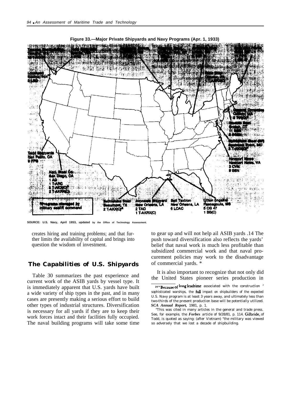

**Figure 33.—Major Private Shipyards and Navy Programs (Apr. 1, 1933)**

**SOURCE: U.S. Navy, April 19S3, updated by the Office of Technology Assessment.**

creates hiring and training problems; and that further limits the availability of capital and brings into question the wisdom of investment.

### *The Capabilities of U.S. Shipyards*

Table 30 summarizes the past experience and current work of the ASIB yards by vessel type. It is immediately apparent that U.S. yards have built a wide variety of ship types in the past, and in many cases are presently making a serious effort to build other types of industrial structures. Diversification is necessary for all yards if they are to keep their work forces intact and their facilities fully occupied. The naval building programs will take some time to gear up and will not help ail ASIB yards .14 The push toward diversification also reflects the yards' belief that naval work is much less profitable than subsidized commercial work and that naval procurement policies may work to the disadvantage of commercial yards. \*

It is also important to recognize that not only did the United States pioneer series production in

<sup>14&</sup>quot;Because of long leadtime associated with the construction " sophisticated warships, the full impact on shipbuilders of the expected U.S. Navy program is at least 3 years away, and ultimately less than two-thirds of the present production base will be potentially utilized. *SCA Annual Report,* 1981, p. 1.

<sup>&</sup>quot;This was cited in many articles in the general and trade press. See, for example, the *Forbes* article of 9/28/81, p. 114. Gilbride, of Todd, is quoted as saying: (after Vietnam) "the military was viewed so adversely that we lost a decade of shipbuilding.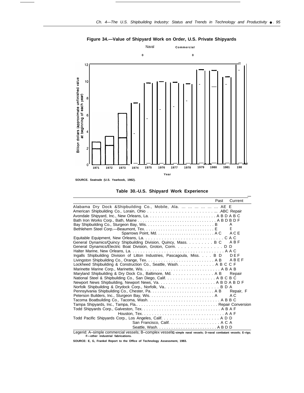



**Table 30.-U.S. Shipyard Work Experience**

|                                                                           | Past | Current   |
|---------------------------------------------------------------------------|------|-----------|
| Alabama Dry Dock & Shipbuilding Co., Mobile, Ala.       AE E              |      |           |
|                                                                           |      |           |
|                                                                           |      |           |
|                                                                           |      |           |
|                                                                           |      | A         |
|                                                                           |      |           |
|                                                                           |      | ACE       |
|                                                                           |      |           |
| General Dynamics/Quincy Shipbuilding Division, Quincy, Mass. B C A B F    |      |           |
| General Dynamics/Electric Boat Division, Groton, Corm. D D                |      |           |
|                                                                           |      |           |
| Ingalls Shipbuilding Division of Litton Industries, Pascagoula, Miss. B D |      | DEF       |
|                                                                           |      |           |
| Lockheed Shipbuilding & Construction Co., Seattle, Wash. A B C C F        |      |           |
|                                                                           |      |           |
| Maryland Shipbuilding & Dry Dock Co., Baltimore, Md. A B                  |      | Repair    |
| National Steel & Shipbuilding Co., San Diego, Calif. A B C B C            |      |           |
|                                                                           |      |           |
| Norfolk Shipbuilding & Drydock Corp., Norfolk, Va B D A                   |      | Repair, F |
|                                                                           |      | A C       |
|                                                                           |      |           |
|                                                                           |      |           |
|                                                                           |      |           |
|                                                                           |      |           |
|                                                                           |      |           |
|                                                                           |      |           |
|                                                                           |      |           |
|                                                                           |      |           |

Legerid: A–simple commercial vessels; B–complex vesselsç-simple naval vessels; D–naval combatant vessels; E–rigs;<br>F—other industrial fabrications.

**SOURCE: E, G, Frankel Report to the Office of Technology Assessment, 1983.**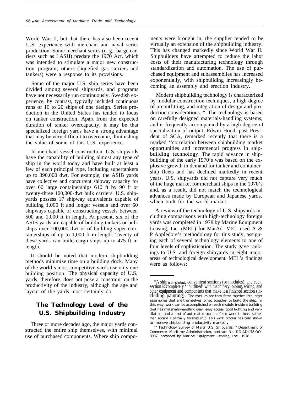World War II, but that there has also been recent U.S. experience with merchant and naval series production. Some merchant series (e. g., barge carriers such as LASH) predate the 1970 Act, which was intended to stimulate a major new construction program; others (liquefied gas carriers and tankers) were a response to its provisions.

Some of the major U.S. ship series have been divided among several shipyards, and programs have not necessarily run continuously. Swedish experience, by contrast, typically included continuous runs of 10 to 20 ships of one design. Series production in the United States has tended to focus on tanker construction. Apart from the expected duration of tanker overcapacity, it may be that specialized foreign yards have a strong advantage that may be very difficult to overcome, diminishing the value of some of this U.S. experience.

In merchant vessel construction, U.S. shipyards have the capability of building almost any type of ship in the world today and have built at least a few of each principal type, including supertankers up to 390,000 dwt. For example, the ASIB yards have collective and concurrent shipway capacity for over 60 large containerships 610 ft by 90 ft or twenty-three 100,000-dwt bulk carriers. U.S. shipyards possess 17 shipway equivalents capable of building 1,000 ft and longer vessels and over 60 shipways capable of constructing vessels between 500 and 1,000 ft in length. At present, six of the ASIB yards are capable of building tankers or bulk ships over 100,000 dwt or of building super containerships of up to 1,000 ft in length. Twenty of these yards can build cargo ships up to 475 ft in length.

It should be noted that modern shipbuilding methods minimize time on a building dock. Many of the world's most competitive yards use only one building position. The physical capacity of U.S. yards, therefore, does not pose a constraint on the productivity of the industry, although the age and layout of the yards most certainly do.

# *The Technology Level of the U.S. Shipbuilding Industry*

Three or more decades ago, the major yards constructed the entire ship themselves, with minimal use of purchased components. Where ship compo-

nents were brought in, the supplier tended to be virtually an extension of the shipbuilding industry. This has changed markedly since World War II. Shipbuilders have attempted to reduce the labor costs of their manufacturing technology through standardization and automation. The use of purchased equipment and subassemblies has increased exponentially, with shipbuilding increasingly becoming an assembly and erection industry.

Modern shipbuilding technology is characterized by modular construction techniques, a high degree of preoutfitting, and integration of design and production considerations. \* The technology is based on carefully designed materials-handling systems, and is frequently accompanied by a high degree of specialization of output. Edwin Hood, past President of SCA, remarked recently that there is a marked ''correlation between shipbuilding market opportunities and incremental progress in shipbuilding technology. The rapid advance in shipbuilding of the early 1970's was based on the explosive growth in demand for tanker and containership fleets and has declined markedly in recent years. U.S. shipyards did not capture very much of the huge market for merchant ships in the 1970's and, as a result, did not match the technological advances made by European and Japanese yards, which built for the world market.

A review of the technology of U.S. shipyards including comparisons with high-technology foreign yards was completed in 1978 by Marine Equipment Leasing, Inc. (MEL) for MarAd. MEL used A & P Appledore's methodology for this study, assigning each of several technology elements to one of four levels of sophistication. The study gave rankings to U.S. and foreign shipyards in eight major areas of technological development. MEL's findings were as follows:

<sup>\*</sup>A ship is divided into convenient sections (or modules), and each section is completely ' 'outfitted' with machinery, piping, wiring, and other equipment and components that make it a finished section (including painting). The modules are then fitted together into larger assemblies that are themselves joined together to build the ship. In this way, work can be accomplished on each module inside a building that has materials-handling gear, easy access, good lighting and ventilation, and a host of automated tools at fixed workstations, rather than aboard a partially finished ship. This work process has been shown to improve shipbuilding productivity markedly.

<sup>&</sup>lt;sup>5</sup>" Technology Survey of Major U.S. Shipyards, " Department of Commerce, Maritime Administration, contract No. DO-ADI-78-OO-3037, prepared by Marine Equipment Leasing, Inc., 1978.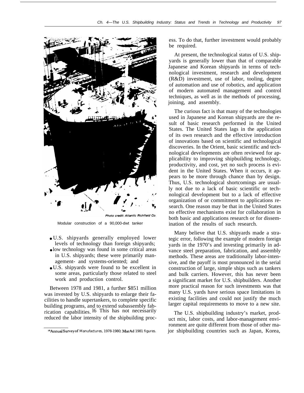

Modular construction of a 90,000-dwt tanker

- U.S. shipyards generally employed lower levels of technology than foreign shipyards;
- low technology was found in some critical areas in U.S. shipyards; these were primarily management- and systems-oriented; and
- U.S. shipyards were found to be excellent in some areas, particularly those related to steel work and production control.

Between 1978 and 1981, a further \$851 million was invested by U.S. shipyards to enlarge their facilities to handle supertankers, to complete specific building programs, and to extend subassembly fabrication capabilities. l6 This has not necessarily reduced the labor intensity of the shipbuilding process. To do that, further investment would probably be required.

.

At present, the technological status of U.S. shipyards is generally lower than that of comparable Japanese and Korean shipyards in terms of technological investment, research and development (R&D) investment, use of labor, tooling, degree of automation and use of robotics, and application of modern automated management and control techniques, as well as in the methods of processing, joining, and assembly.

The curious fact is that many of the technologies used in Japanese and Korean shipyards are the result of basic research performed in the United States. The United States lags in the application of its own research and the effective introduction of innovations based on scientific and technological discoveries. In the Orient, basic scientific and technological developments are often reviewed for applicability to improving shipbuilding technology, productivity, and cost, yet no such process is evident in the United States. When it occurs, it appears to be more through chance than by design. Thus, U.S. technological shortcomings are usually not due to a lack of basic scientific or technological development but to a lack of effective organization of or commitment to applications research. One reason may be that in the United States no effective mechanisms exist for collaboration in both basic and applications research or for dissemination of the results of such research.

Many believe that U.S. shipyards made a strategic error, following the example of modern foreign yards in the 1970's and investing primarily in advance steel preparation, fabrication, and assembly methods. These areas are traditionally labor-intensive, and the payoff is most pronounced in the serial construction of large, simple ships such as tankers and bulk carriers. However, this has never been a significant market for U.S. shipbuilders. Another more practical reason for such investments was that many U.S. yards have serious space limitations in existing facilities and could not justify the much larger capital requirements to move to a new site.

The U.S. shipbuilding industry's market, product mix, labor costs, and labor-management environment are quite different from those of other major shipbuilding countries such as Japan, Korea,

<sup>&</sup>lt;sup>16</sup> Annual Survey of Manufactures, 1978-1980; MarAd 1981 figures.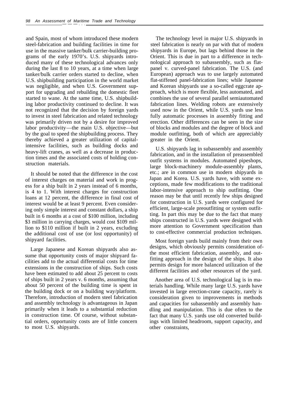and Spain, most of whom introduced these modern steel-fabrication and building facilities in time for use in the massive tanker/bulk carrier-building programs of the early 1970's. U.S. shipyards introduced many of these technological advances only during the last 8 to 10 years, at a time when large tanker/bulk carrier orders started to decline, when U.S. shipbuilding participation in the world market was negligible, and when U.S. Government support for upgrading and rebuilding the domestic fleet started to wane. At the same time, U.S. shipbuilding labor productivity continued to decline. It was not recognized that the decision by foreign yards to invest in steel fabrication and related technology was primarily driven not by a desire for improved labor productivity—the main U.S. objective—but by the goal to speed the shipbuilding process. They thereby achieved a greater utilization of capitalintensive facilities, such as building docks and heavy-lift cranes, as well as a decrease in production times and the associated costs of holding construction materials.

It should be noted that the difference in the cost of interest charges on material and work in progess for a ship built in 2 years instead of 6 months, is 4 to 1. With interest charges for construction loans at 12 percent, the difference in final cost of interest would be at least 9 percent. Even considering only simple interest and constant dollars, a ship built in 6 months at a cost of \$100 million, including \$3 million in carrying charges, would cost \$109 million to \$110 million if built in 2 years, excluding the additional cost of use (or lost opportunity) of shipyard facilities.

Large Japanese and Korean shipyards also assume that opportunity costs of major shipyard facilities add to the actual differential costs for time extensions in the construction of ships. Such costs have been estimated to add about 25 percent to costs of ships built in 2 years v. 6 months, assuming that about 50 percent of the building time is spent in the building dock or on a building way/platform. Therefore, introduction of modern steel fabrication and assembly technology is advantageous in Japan primarily when it leads to a substantial reduction in construction time. Of course, without substantial orders, opportunity costs are of little concern to most U.S. shipyards.

The technology level in major U.S. shipyards in steel fabrication is nearly on par with that of modern shipyards in Europe, but lags behind those in the Orient. This is due in part to a difference in technological approach to subassembly, such as flatpanel v. curved-panel fabrication. The U.S. (and European) approach was to use largely automated flat-stiffened panel-fabrication lines; while Japanese and Korean shipyards use a so-called eggcrate approach, which is more flexible, less automated, and combines the use of several parallel semiautomated fabrication lines. Welding robots are extensively used now in the Orient, while U.S. yards use less fully automatic processes in assembly fitting and erection. Other differences can be seen in the size of blocks and modules and the degree of block and module outfitting, both of which are appreciably greater in the Orient.

U.S. shipyards lag in subassembly and assembly fabrication, and in the installation of preassembled outfit systems in modules. Automated pipeshops, large block-machinery module-assembly plants, etc.; are in common use in modern shipyards in Japan and Korea. U.S. yards have, with some exceptions, made few modifications to the traditional labor-intensive approach to ship outfitting. One reason may be that until recently few ships designed for construction in U.S. yards were configured for efficient, large-scale preoutfitting or system outfitting. In part this may be due to the fact that many ships constructed in U.S. yards were designed with more attention to Government specification than to cost-effective commercial production techniques.

Most foreign yards build mainly from their own designs, which obviously permits consideration ofthe most efficient fabrication, assembly, and outfitting approach in the design of the ships. It also permits design for more balanced utilization of the different facilities and other resources of the yard.

Another area of U.S. technological lag is in materials handling. While many large U.S. yards have invested in large erection-crane capacity, rarely is consideration given to improvements in methods and capacities for subassembly and assembly handling and manipulation. This is due often to the fact that many U.S. yards use old converted buildings with limited headroom, support capacity, and other constraints,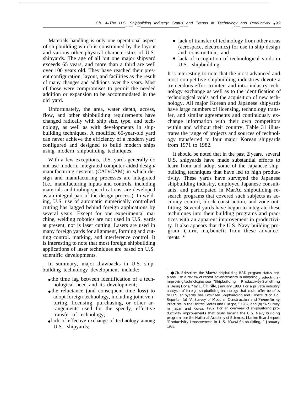Materials handling is only one operational aspect of shipbuilding which is constrained by the layout and various other physical characteristics of U.S. shipyards. The age of all but one major shipyard exceeds 65 years, and more than a third are well over 100 years old. They have reached their present configuration, layout, and facilities as the result of many changes and additions over the years. Most of those were compromises to permit the needed addition or expansion to be accommodated in the old yard.

Unfortunately, the area, water depth, access, flow, and other shipbuilding requirements have changed radically with ship size, type, and technology, as well as with developments in shipbuilding techniques. A modified 65-year-old yard can never achieve the efficiency of a modern yard configured and designed to build modern ships using modern shipbuilding techniques.

With a few exceptions, U.S. yards generally do not use modern, integrated computer-aided design/ manufacturing systems (CAD/CAM) in which design and manufacturing processes are integrated (i.e., manufacturing inputs and controls, including materials and tooling specifications, are developed as an integral part of the design process). In welding, U.S. use of automatic numerically controlled cutting has lagged behind foreign applications by several years. Except for one experimental machine, welding robotics are not used in U.S. yards at present, nor is laser cutting. Lasers are used in many foreign yards for alignment, forming and cutting control. marking, and interference control. It is interesting to note that most foreign shipbuilding applications of laser techniques are based on U.S. scientific developments.

In summary, major drawbacks in U.S. shipbuilding technology development include:

- the time lag between identification of a technological need and its development;
- the reluctance (and consequent time loss) to adopt foreign technology, including joint venturing, licensing, purchasing, or other arrangements used for the speedy, effective transfer of technology;
- lack of effective exchange of technology among U.S. shipyards;
- lack of transfer of technology from other areas (aerospace, electronics) for use in ship design and construction; and
- lack of recognition of technological voids in U.S. shipbuilding.

It is interesting to note that the most advanced and most competitive shipbuilding industries devote a tremendous effort to inter- and intra-industry technology exchange as well as to the identification of technological voids and the acquisition of new technology. All major Korean and Japanese shipyards have large numbers of licensing, technology transfer, and similar agreements and continuously exchange information with their own competitors within and without their country. Table 31 illustrates the range of projects and sources of technology transferred to four major Korean shipyards from 1971 to 1982.

It should be noted that in the past **2** years, several U.S. shipyards have made substantial efforts to learn from and adopt some of the Japanese shipbuilding techniques that have led to high productivity. These yards have surveyed the Japanese shipbuilding industry, employed Japanese consultants, and participated in MarAd shipbuilding research programs that covered such subjects as accuracy control, block construction, and zone outfitting. Several yards have begun to integrate these techniques into their building programs and practices with an apparent improvement in productivity. It also appears that the U.S. Navy building program,  $i<sub>n</sub>$  turn, ma<sub>y</sub> benefit from these advancements. \*

<sup>●</sup> Ch. 5 describes the MarAd shipbuilding R&D program status and plans. For a review of recent advancements in adopting productivityimproving technologies see, "Shipbuilding Productivity-Something is Being Done, " by L. Chirillo, January 1983. For a private industry anatysis of foreign shipbuilding technology that could offer benefits to U.S. shipyards, see Lockheed Shipbuilding and Construction Co. Reports—(a) "A Survey of Modular Construction and Preoutfitting Practices in the United States and Europe, " 1982; and (b) "A Survey in Japan and Korea, 1982. For an overview of shipbuilding productivity improvements that could benefit the U.S. Navy building program, see the National Academy of Sciences, Marine Board report "Productivity Improvement in U.S. Navat Shipbuilding, " January 1983.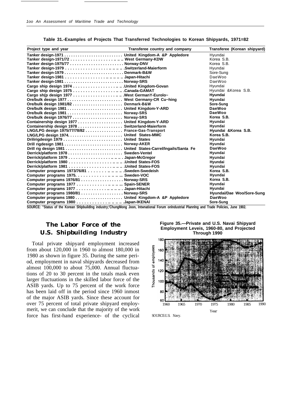| Project type and year                                        | Transferee country and company | Transferee (Korean shipyard) |
|--------------------------------------------------------------|--------------------------------|------------------------------|
| Tanker design-1971  United Kingdom-A &P Appledore            |                                | Hyundai                      |
|                                                              |                                | Korea S.B.                   |
|                                                              |                                | Korea S.B.                   |
|                                                              |                                | Hyundai                      |
|                                                              |                                | Sore-Sung                    |
|                                                              |                                | DaeWoo                       |
|                                                              |                                | DaeWoo                       |
|                                                              |                                | Hyundai                      |
|                                                              |                                | Hyundai & Korea S.B.         |
|                                                              |                                | Hyundai                      |
|                                                              |                                | Hyundai                      |
|                                                              |                                | Sore-Sung                    |
|                                                              |                                | DaeWoo                       |
| Ore/bulk design 1981  Norway-SRS                             |                                | DaeWoo                       |
| Ore/bulk design 1976/77  Norway-SRS                          |                                | Korea S.B.                   |
| Containership design 1977 United Kingdom-Y-ARD               |                                | Hyundai                      |
| Containership design 1978 Switzerland-Maierform              |                                | Hyundai                      |
| LNG/LPG design 1975/77/78/82 France-Gas-Transport            |                                | Hyundai & Korea S.B.         |
|                                                              |                                | Korea S.B.                   |
|                                                              |                                | Hyundai                      |
| Drill rigdesign 1981  Norway-AKER                            |                                | Hvundai                      |
| Drill rig design 1981  United States-Carrel/Ingails/Santa Fe |                                | DaeWoo                       |
|                                                              |                                | Hyundai                      |
|                                                              |                                | Hyundai                      |
|                                                              |                                | Hyundai                      |
|                                                              |                                | Hyundai                      |
| Computer programs 1973/76/81 Sweden-Swedeish                 |                                | Korea S.B.                   |
| Computer programs 1975. Sweden-VOC                           |                                | Hyundai                      |
| Computer programs 1976/81 Norway-SRS                         |                                | Korea S.B.                   |
| Computer programs 1977 Spain-SENER                           |                                | Hyundai                      |
| Computer programs 1977 Japan-Hitachi                         |                                | Hyundai                      |
| Computer programs 1980/81 Norway-SRS                         |                                | Hyundai/Dae Woo/Sore-Sung    |
| Computer programs 1980 United Kingdom-A &P Appledore         |                                | DaeWoo                       |
| Computer programs 1980 Japan-IKENAI                          |                                | Sore-Sung                    |

**Table 31.-Examples of Projects That Transferred Technologies to Korean Shipyards, 1971=82**

**SOURCE: ''Status of the Korean Shlpbuildlng industry;'ChungMong Joon, lntwnational Forum onlndustrial Plannlng and Trade Policies, June 1902.**

# *The Labor Force of the U.S. Shipbuilding Industry*

Total private shipyard employment increased from about 120,000 in 1960 to almost 180,000 in 1980 as shown in figure 35. During the same period, employment in naval shipyards decreased from almost 100,000 to about 75,000. Annual fluctuations of 20 to 30 percent in the totals mask even larger fluctuations in the skilled labor force of the ASIB yards. Up to 75 percent of the work force has been laid off in the period since 1960 inmost of the major ASIB yards. Since these account for over 75 percent of total private shipyard employmerit, we can conclude that the majority of the work force has first-hand experience- of the cyclical

**Figure 35.—Private and U.S. Navai Shipyard Employment Leveis, 1960-80, and Projected Through 1990**



SOURCE:U.S. Navy.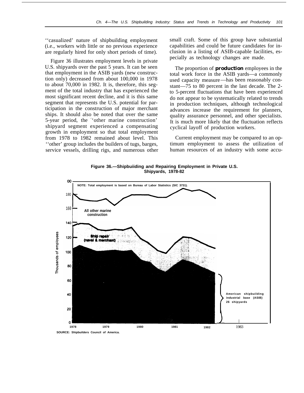''casualized' nature of shipbuilding employment (i.e., workers with little or no previous experience are regularly hired for only short periods of time).

Figure 36 illustrates employment levels in private U.S. shipyards over the past 5 years. It can be seen that employment in the ASIB yards (new construction only) decreased from about 100,000 in 1978 to about 70,000 in 1982. It is, therefore, this segment of the total industry that has experienced the most significant recent decline, and it is this same segment that represents the U.S. potential for participation in the construction of major merchant ships. It should also be noted that over the same 5-year period, the <sup>&</sup>lt; 'other marine construction' shipyard segment experienced a compensating growth in employment so that total employment from 1978 to 1982 remained about level. This ''other' group includes the builders of tugs, barges, service vessels, drilling rigs, and numerous other

small craft. Some of this group have substantial capabilities and could be future candidates for inclusion in a listing of ASIB-capable facilities, especially as technology changes are made.

The proportion of **production** employees in the total work force in the ASIB yards—a commonly used capacity measure—has been reasonably constant—75 to 80 percent in the last decade. The 2 to 5-percent fluctuations that have been experienced do not appear to be systematically related to trends in production techniques, although technological advances increase the requirement for planners, quality assurance personnel, and other specialists. It is much more likely that the fluctuation reflects cyclical layoff of production workers.

Current employment may be compared to an optimum employment to assess the utilization of human resources of an industry with some accu-

**Figure 36.—Shipbuiiding and Repairing Employment in Private U.S. Shipyards, 1978-82**



**SOURCE: Shipbuilders Council of America.**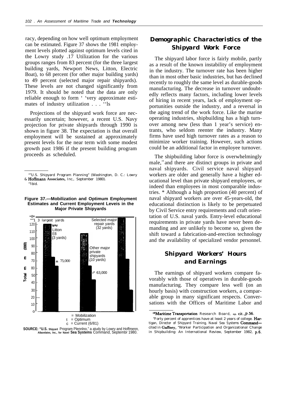racy, depending on how well optimum employment can be estimated. Figure 37 shows the 1981 employment levels plotted against optimum levels cited in the Lowry study .17 Utilization for the various groups ranges from 83 percent (for the three largest building yards, Newport News, Litton, Electric Boat), to 68 percent (for other major building yards) to 49 percent (selected major repair shipyards). These levels are not changed significantly from 1979. It should be noted that the data are only reliable enough to form ' 'very approximate estimates of industry utilization . . . ''ls

Projections of the shipyard work force are necessarily uncertain; however, a recent U.S. Navy projection for private shipyards through 1990 is shown in figure 38. The expectation is that overall employment will be sustained at approximately present levels for the near term with some modest growth past 1986 if the present building program proceeds as scheduled.

#### **Figure 37.—Mobilization and Optimum Employment Estimates and Current Employment Leveis in the Major Private Shipyards**





## *Demographic Characteristics of the Shipyard Work Force*

The shipyard labor force is fairly mobile, partly as a result of the known instability of employment in the industry. The turnover rate has been higher than in most other basic industries, but has declined recently to roughly the same level as durable-goods manufacturing. The decrease in turnover undoubtedly reflects many factors, including lower levels of hiring in recent years, lack of employment opportunities outside the industry, and a reversal in the aging trend of the work force. Like the marine operating industries, shipbuilding has a high turnover among new (less than 1 year's service) entrants, who seldom reenter the industry. Many firms have used high turnover rates as a reason to minimize worker training. However, such actions could be an additional factor in employee turnover.

The shipbuilding labor force is overwhelmingly male,<sup>19</sup> and there are distinct groups in private and naval shipyards. Civil service naval shipyard workers are older and generally have a higher educational level than private shipyard employees, or indeed than employees in most comparable industries. \* Although a high proportion (40 percent) of naval shipyard workers are over 45-years-old, the educational distinction is likely to be perpetuated by Civil Service entry requirements and craft orientation of U.S. naval yards. Entry-level educational requirements in private yards have never been demanding and are unlikely to become so, given the shift toward a fabrication-and-erection technology and the availability of specialized vendor personnel.

## *Shipyard Workers' Hours and Earnings*

The earnings of shipyard workers compare favorably with those of operatives in durable-goods manufacturing. They compare less well (on an hourly basis) with construction workers, a comparable group in many significant respects. Conversations with the Offices of Maritime Labor and

<sup>&</sup>quot;''U.S. Shipyard Program Planning" (Washington, D. C.: Lowry & Hoffmann **Associates,** Inc., September 1980). '"Ibid.

<sup>19</sup> Maritime Transportation Research Board, op. cit., p. 56.

<sup>&</sup>quot;Forty percent of apprentices have at least 2 years of college. Hartigan, Director of Shipyard Training, Naval Sea Systems Commandcited in Gaffney, "Worker Participation and Organizational Change in Shipbuilding: An International Review, September 1982, p.6.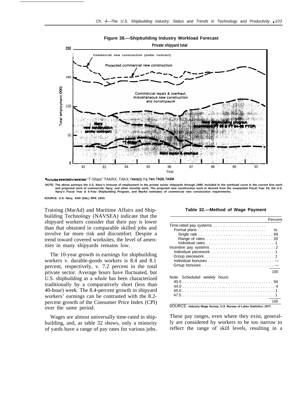#### **Figure 38.—Shipbuilding Industry Workload Forecast**





**SOURCE: U.S. Navy, ASN (S&L) RPE 19S3.**

Training (MarAd) and Maritime Affairs and Shipbuilding Technology (NAVSEA) indicate that the shipyard workers consider that their pay is lower than that obtained in comparable skilled jobs and involve far more risk and discomfort. Despite a trend toward covered worksites, the level of amenities in many shipyards remains low.

The 10-year growth in earnings for shipbuilding workers v. durable-goods workers is 8.4 and 8.1 percent, respectively, v. 7.2 percent in the total private sector. Average hours have fluctuated, but U.S. shipbuilding as a whole has been characterized traditionally by a comparatively short (less than 40-hour) week. The 8.4-percent growth in shipyard workers' earnings can be contrasted with the 8.2 percent growth of the Consumer Price Index (CPI) over the same period.

Wages are almost universally time-rated in shipbuilding, and, as table 32 shows, only a minority of yards have a range of pay rates for various jobs.

#### **Table 32.—Method of Wage Payment**

|                                                                    | Percent |
|--------------------------------------------------------------------|---------|
|                                                                    |         |
|                                                                    | $\%$    |
|                                                                    |         |
|                                                                    |         |
|                                                                    |         |
|                                                                    |         |
|                                                                    |         |
|                                                                    |         |
|                                                                    |         |
|                                                                    |         |
|                                                                    | 100     |
| Note: Scheduled weekly hours:                                      |         |
|                                                                    |         |
|                                                                    |         |
|                                                                    |         |
|                                                                    |         |
|                                                                    | 100     |
| URCE: /ndustry Wage Survey, U.S. Bureau of Labor Statistics, 1977. |         |

These pay ranges, even where they exist, generally are considered by workers to be too narrow to reflect the range of skill levels, resulting in a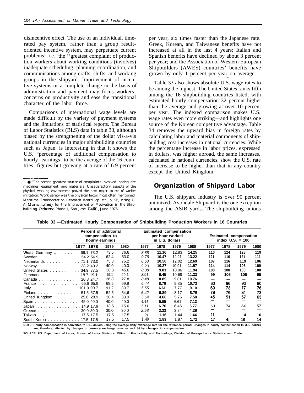disincentive effect. The use of an individual, timerated pay system, rather than a group resultoriented incentive system, may perpetuate current problems; i.e., the ''greatest complaint of production workers about working conditions (involves) inadequate scheduling, planning coordination, and communications among crafts, shifts, and working groups in the shipyard. Improvement of incentive systems or a complete change in the basis of administration and payment may focus workers' concerns on productivity and ease the transitional character of the labor force.

Comparisons of international wage levels are made difficult by the variety of payment systems and the limitations of statistical reports. The Bureau of Labor Statistics (BLS) data in table 33, although biased by the strengthening of the dollar vis-a-vis national currencies in major shipbuilding countries such as Japan, is interesting in that it shows the U.S. "percentage of additional compensation to hourly earnings' to be the average of the 16 countries' figures but growing at a rate of 6.9 percent

per year, six times faster than the Japanese rate. Greek, Korean, and Taiwanese benefits have not increased at all in the last 4 years; Italian and Spanish benefits have declined by about 3 percent per year; and the Association of Western European Shipbuilders (AWES) countries' benefits have grown by only 1 percent per year on average.

—

Table 33 also shows absolute U.S. wage rates to be among the highest. The United States ranks fifth among the 16 shipbuilding countries listed, with estimated hourly compensation 32 percent higher than the average and growing at over 10 percent per year. The indexed comparison makes U.S. wage rates even more striking—and highlights one source of the Korean competitive advantage. Table 34 removes the upward bias in foreign rates by calculating labor and material components of shipbuilding cost increases in national currencies. While the percentage increase in labor prices, expressed in dollars, was higher abroad, the same increases, calculated in national currencies, show the U.S. rate of increase to be higher than that in any country except the United Kingdom.

### *Organization of Shipyard Labor*

The U.S. shipyard industry is over 90 percent unionized. Avondale Shipyard is the one exception among the ASIB yards. The shipbuilding unions

|                                | compensation to<br>hourly earnings | Percent of additional |      | <b>Estimated compensation</b><br>per hour worked<br>in U.S. dollars |       |       | <b>Estimated compensation</b><br>index $U.S. = 100$ |      |      |      |
|--------------------------------|------------------------------------|-----------------------|------|---------------------------------------------------------------------|-------|-------|-----------------------------------------------------|------|------|------|
| 1978<br>1977                   | 1979                               | 1980                  | 1977 | 1978                                                                | 1979  | 1980  | 1977                                                | 1978 | 1979 | 1980 |
| <b>West</b> Germany  69,1 73.2 | 73.5                               | 76.8                  | 8.88 | 11.16                                                               | 12.83 | 14.25 | 110                                                 | 124  | 128  | 119  |
| Sweden 54.2 56.9               | 62.4                               | 63.0                  | 9.76 | 10.47                                                               | 12.21 | 13.22 | 121                                                 | 116  | 121  | 111  |
| Netherlands 71.1 73.0          | 75.8                               | 75.2                  | 8.63 | 10.50                                                               | 12.02 | 12.69 | 107                                                 | 116  | 119  | 106  |
| Norway 38.2 40.2               | 40.0                               | 40.0                  | 9.20 | 10.27                                                               | 10.91 | 11.97 | 114                                                 | 114  | 108  | 100  |
| United States 34.9 37.5        | 38.8                               | 45.6                  | 8.08 | 9.03                                                                | 10.06 | 11.94 | 100                                                 | 100  | 100  | 100  |
| Denmark 18.7 19.1              | 19.1                               | 20.1                  | 8.01 | 9.45                                                                | 10.68 | 11.33 | 99                                                  | 105  | 106  | 95   |
| Canada 20.3 24.7               | 26.8                               | 27.8                  | 8.48 | 8.89                                                                | 9.81  | 10.76 | -                                                   |      |      |      |
| France 65.6 65.9               | 68.5                               | 69.9                  | 6.44 | 8.70                                                                | 9.35  | 10.73 | 80                                                  | 96   | 93   | 90   |
| Italy 101.9 90.7               | 91.2                               | 89.7                  | 5.55 | 6.61                                                                | 7.77  | 9.10  | 69                                                  | 73   | 77   | 76   |
| Finland 51.5 57.5              | 52.5                               | 54,6                  | 6.42 | 6.89                                                                | 8.17  | 8.75  | 79                                                  | 76   | 81   | 73   |
| United Kingdom 25.6 28.9       | 30,4                               | 33.0                  | 3.64 | 4.60                                                                | 5.76  | 7.58  | 45                                                  | 51   | 57   | 63   |
| Spain 45.0 40.0                | 40.0                               | 40.0                  | 4.41 | 5.05                                                                | 6.61  | 7.13  |                                                     |      |      |      |
| Japan 14.9 17.9                | 18.5                               | 15.6                  | 5.11 | 6.70                                                                | 6.46  | 6.77  | 63                                                  | 74   | 64   | 57   |
| Greece 30.0 30.0               | 30.0                               | 30.0                  | 2.58 | 3.33                                                                | 3.84  | 4.29  |                                                     |      |      |      |
| Taiwan  , 17.5 17.5            | 17.5                               | 17.5                  | .91  | 1.16                                                                | 1.44  | 1.66  | 11                                                  |      | 14   | 16   |
| South Korea 17.5 17.5          | 17.5                               | 17.5                  | 1.40 | 1.83                                                                | 1.87  | 1.72  | 17                                                  | 4.   | 19   | 14   |

**Table 33.—Estimated Hourly Compensation of Shipbuilding Production Workers in 16 Countries**

**NOTE: Hourly compensation is converted to U.S. dollars using the average daily exchange rate for the reference period. Changes In hourty compensation In U.S. dollars are, therefore, affected by changes in currency exchange rates as well** as **by changes in compensation.**

**SOURCE: US. Department of Labor, Bureau of Labor Statistics, Office of Productivity and Technology, Divlslon of Foreign Labor Statistics and Trade.**

<sup>——.—..—</sup> ● "The second greatest source of complaints involved inadequate machines, equipment, and materials. Unsatisfactory aspects of the physical working environment proved the next major source of worker irritation. Work safety was the physical factor most often mentioned. Maritime Transportation Research Board, op. cit., p. 96, citing G. A. Muench, *Scudy for the Improvement of Motivation in the Ship*building Industry, Phase I, San Jose, Calif., June 1976.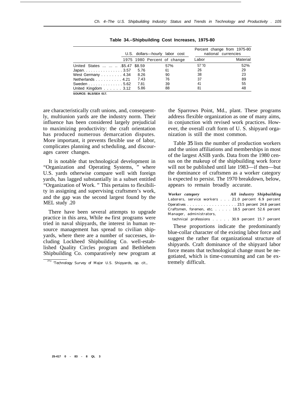|                                           |      | U.S. dollars—hourly labor cost |                                | Percent change from 1975-80<br>national currencies |
|-------------------------------------------|------|--------------------------------|--------------------------------|----------------------------------------------------|
|                                           |      | 1975 1980 Percent of change    | Labor                          | Material                                           |
| United States    \$5.47 \$8.59            |      | 57%                            | $57 \frac{\text{m}}{\text{m}}$ | 52%                                                |
| Japan. $\ldots$ . 3.57                    | 5.76 | 61                             | 26                             | 29                                                 |
| West Germany 4.34                         | 8.26 | 90                             | 38                             | 23                                                 |
| Netherlands 4.21                          | 7.43 | 76                             | 37                             | 89                                                 |
| Sweden $\ldots \ldots \ldots \ldots 5.62$ | 7.81 | 39                             | 41                             | 55                                                 |
| United Kingdom $\ldots$ 3.12              | 5.86 | 88                             | 81                             | 48                                                 |
| SOURCE: BLS/SEA 017.                      |      |                                |                                |                                                    |

**Table 34.–Shipbuilding Cost Increases, 1975-80**

are characteristically craft unions, and, consequently, multiunion yards are the industry norm. Their influence has been considered largely prejudicial to maximizing productivity: the craft orientation

has produced numerous demarcation disputes. More important, it prevents flexible use of labor, complicates planning and scheduling, and discourages career changes.

It is notable that technological development in "Organization and Operating Systems, " where U.S. yards otherwise compare well with foreign yards, has lagged substantially in a subset entitled "Organization of Work. " This pertains to flexibility in assigning and supervising craftsmen's work, and the gap was the second largest found by the MEL study .20

There have been several attempts to upgrade practice in this area, While the first programs were tried in naval shipyards, the interest in human resource management has spread to civilian shipyards, where there are a number of successes, including Lockheed Shipbuilding Co. well-established Quality Circles program and Bethlehem Shipbuilding Co. comparatively new program at the Sparrows Point, Md., plant. These programs address flexible organization as one of many aims, in conjunction with revised work practices. However, the overall craft form of U. S. shipyard organization is still the most common.

Table *35* lists the number of production workers and the union affiliations and memberships in most of the largest ASIB yards. Data from the 1980 census on the makeup of the shipbuilding work force will not be published until late 1983—if then—but the dominance of craftsmen as a worker category is expected to persist. The 1970 breakdown, below, appears to remain broadly accurate.

| Worker category                                    |  | All industry Shipbuilding |
|----------------------------------------------------|--|---------------------------|
| Laborers, service workers 21.0 percent 6.9 percent |  |                           |
| Operatives 23.5 percent 24.8 percent               |  |                           |
| Craftsmen, foremen, etc 18.5 percent 52.6 percent  |  |                           |
| Manager, administrators,                           |  |                           |
|                                                    |  |                           |

technical professions . . . . . 30.9 percent 15.7 percent

These proportions indicate the predominantly blue-collar character of the existing labor force and suggest the rather flat organizational structure of shipyards. Craft dominance of the shipyard labor force means that technological change must be negotiated, which is time-consuming and can be extremely difficult.

<sup>&#</sup>x27;Technology Survey of Major U.S. Shipyards, op. cit.,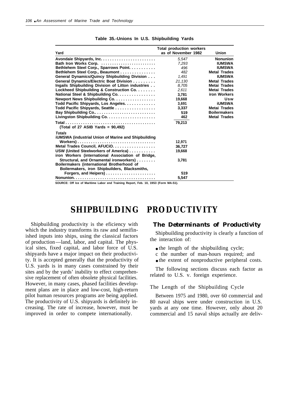| Yard                                                       | <b>Total production workers</b><br>as of November 1982 | <b>Union</b>        |
|------------------------------------------------------------|--------------------------------------------------------|---------------------|
|                                                            |                                                        |                     |
|                                                            | 5,547                                                  | <b>Nonunion</b>     |
| Bath Iron Works Corp.                                      | 7.293                                                  | <b>IUMSWA</b>       |
| Bethlehem Steel Corp., Sparrows Point.                     | 496                                                    | <b>IUMSWA</b>       |
| Bethlehem Steel Corp., Beaumont                            | 482                                                    | <b>Metal Trades</b> |
| General Dynamics/Quincy Shipbuilding Division              | 1,491                                                  | <b>IUMSWA</b>       |
| General Dynamics/Electric Boat Division                    | 21.130                                                 | <b>Metal Trades</b> |
| Ingails Shipbuilding Division of Litton industries         | 8.705                                                  | Metai Trades        |
| Lockheed Shipbuilding & Construction Co.                   | 2,611                                                  | <b>Metai Trades</b> |
| National Steel & Shipbuilding Co.                          | 3.781                                                  | iron Workers        |
| Newport News Shipbuilding Co.                              | 19,668                                                 | Usw                 |
| Todd Pacific Shipyards, Los Angeles.                       | 3.691                                                  | <b>iUMSWA</b>       |
| Todd Pacific Shipyards, Seattle                            | 3,337                                                  | <b>Metai Trades</b> |
|                                                            | 519                                                    | <b>Boilermakers</b> |
|                                                            | 462                                                    | <b>Metal Trades</b> |
| (Total of 27 ASIB Yards = $90,492$ )                       | 79,213                                                 |                     |
| <b>Totals</b>                                              |                                                        |                     |
| <b>iUMSWA (industrial Union of Marine and Shipbuilding</b> |                                                        |                     |
| Workers)                                                   | 12.971                                                 |                     |
| Metal Trades Council, AFUCIO.                              | 36.727                                                 |                     |
| USW (United Steelworkers of America)                       | 19,668                                                 |                     |
| iron Workers (international Association of Bridge,         |                                                        |                     |
| Structural, and Ornamental ironworkers)                    | 3,781                                                  |                     |
| Boilermakers (international Brotherhood of                 |                                                        |                     |
| Boilermakers, iron Shipbuilders, Blacksmiths,              |                                                        |                     |
| Forgers, and Heipers)                                      | 519                                                    |                     |
|                                                            | 5.547                                                  |                     |

|  |  |  |  | Table 35.-Unions In U.S. Shipbuilding Yards |  |
|--|--|--|--|---------------------------------------------|--|
|--|--|--|--|---------------------------------------------|--|

**SOURCE: Off Ice of Maritime Labor end Training Report, Feb. 10, 19S3 (Form MA-S1).**

# **SHIPBUILDING PRODUCTIVITY**

Shipbuilding productivity is the eficiency with which the industry transforms its raw and semifinished inputs into ships, using the classical factors of production—land, labor, and capital. The physical sites, fixed capital, and labor force of U.S. shipyards have a major impact on their productivity. It is accepted generally that the productivity of U.S. yards is in many cases constrained by their sites and by the yards' inability to effect comprehensive replacement of often obsolete physical facilities. However, in many cases, phased facilities development plans are in place and low-cost, high-return pilot human resources programs are being applied. The productivity of U.S. shipyards is definitely increasing. The rate of increase, however, must be improved in order to compete internationally.

### *The Determinants of Productivity*

Shipbuilding productivity is clearly a function of the interaction of:

- the length of the shipbuilding cycle;
- c the number of man-hours required; and
- the extent of nonproductive peripheral costs.

The following sections discuss each factor as related to U.S. v. foreign experience.

### The Length of the Shipbuilding Cycle

Between 1975 and 1980, over 60 commercial and 80 naval ships were under construction in U.S. yards at any one time. However, only about 20 commercial and 15 naval ships actually are deliv-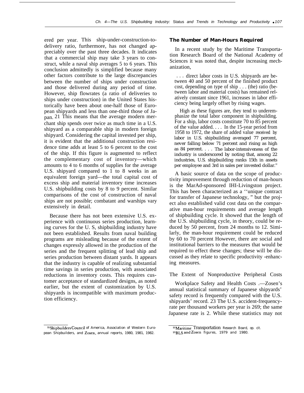ered per year. This ship-under-construction-todelivery ratio, furthermore, has not changed appreciably over the past three decades. It indicates that a commercial ship may take 3 years to construct, while a naval ship averages 5 to 6 years. This conclusion admittedly is simplified because many other factors contribute to the large discrepancies between the number of ships under construction and those delivered during any period of time. However, ship flowrates (a ratio of deliveries to ships under construction) in the United States historically have been about one-half those of European shipyards and less than one-third those of Japan. 21 This means that the average modern merchant ship spends over twice as much time in a U.S. shipyard as a comparable ship in modern foreign shipyard. Considering the capital invested per ship, it is evident that the additional construction residence time adds at least 5 to 6 percent to the cost of the ship. If this figure is augmented to reflect the complementary cost of inventory—which amounts to 4 to 6 months of supplies for the average U.S. shipyard compared to 1 to 8 weeks in an equivalent foreign yard—the total capital cost of excess ship and material inventory time increases U.S. shipbuilding costs by 8 to 9 percent. Similar comparisons of the cost of construction of naval ships are not possible; combatant and warships vary extensively in detail.

Because there has not been extensive U.S. experience with continuous series production, learning curves for the U. S, shipbuilding industry have not been established. Results from naval building programs are misleading because of the extent of changes expressly allowed in the production of the series and the frequent splitting of lead ship and series production between distant yards. It appears that the industry is capable of realizing substantial time savings in series production, with associated reductions in inventory costs. This requires customer acceptance of standardized designs, as noted earlier, but the extent of customization by U.S. shipyards is incompatible with maximum production efficiency.

#### **The Number of Man-Hours Required**

In a recent study by the Maritime Transportation Research Board of the National Academy of Sciences it was noted that, despite increasing mechanization,

. . . direct labor costs in U.S. shipyards are between 40 and 50 percent of the finished product cost, depending on type of ship . . . (the) ratio (between labor and material costs) has remained relatively constant since 1961, increases in labor efficiency being largely offset by rising wages.

High as these figures are, they tend to underemphasize the total labor component in shipbuilding. For a ship, labor costs constitute 70 to 85 percent of the value added. . . . In the 15-year period from 1958 to 1972, the share of added value received by labor in U.S. shipbuilding averaged 77 percent, never falling below 71 percent and rising as high as 84 percent. . . . The labor-intensiveness of the industry is underscored by noting that, among 22 industries, U.S. shipbuilding ranks 15th in assets per employee and 3rd in sales per invested dollar.<sup>22</sup>

A basic source of data on the scope of productivity improvement through reduction of man-hours is the MarAd-sponsored IHI-Livingston project. This has been characterized as a ''unique contract for transfer of Japanese technology, " but the project also established valid cost data on the comparative man-hour requirements and average length of shipbuilding cycle. It showed that the length of the U.S. shipbuilding cycle, in theory, could be reduced by 50 percent, from 24 months to 12. Similarly, the man-hour requirement could be reduced by 60 to 70 percent However, there are social and institutional barriers to the measures that would be required to effect these changes; these will be discussed as they relate to specific productivity -enhancing measures.

The Extent of Nonproductive Peripheral Costs

Workplace Safety and Health Costs .—Zosen's annual statistical summary of Japanese shipyards' safety record is frequently compared with the U.S. shipyards' record. 23 The U.S. accident-frequencyrate per thousand workers per year is 269; the same Japanese rate is 2. While these statistics may not

<sup>&</sup>lt;sup>21</sup>Shipbuilders Council of America, Association of Western European Shipbuilders, and Zosen, annual reports, 1980, 1981, 1982.

 $\overline{P^2M$ aritime Transportation Research Board, op. cit.

**Z3BLS and Zosen** figures, 1979 and 1980.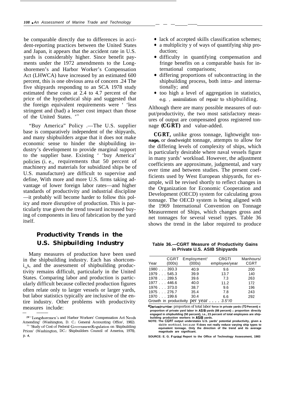be comparable directly due to differences in accident-reporting practices between the United States and Japan, it appears that the accident rate in U.S. yards is considerably higher. Since benefit payments under the 1972 amendments to the Longshoremen's and Harbor Worker's Compensation Act (LHWCA) have increased by an estimated 600 percent, this is one obvious area of concern .24 The five shipyards responding to an SCA 1978 study estimated these costs at 2.4 to 4.7 percent of the price of the hypothetical ship and suggested that the foreign equivalent requirements were ' 'less stringent and (had) a lesser cost impact than those of the United States.<sup>'25</sup>

"Buy America" Policy .—The U.S. supplier base is comparatively independent of the shipyards, and many shipbuilders argue that it does not make economic sense to hinder the shipbuilding industry's development to provide marginal support to the supplier base. Existing ' 'buy America' policies (i. e., requirements that 50 percent of machinery and materials for subsidized ships be of U.S. manufacture) are difficult to supervise and define, With more and more U.S. firms taking advantage of lower foreign labor rates—and higher standards of productivity and industrial discipline —it probably will become harder to follow this policy and more disruptive of production. This is particularly true given the trend toward increased buying of components in lieu of fabrication by the yard itself.

# *Productivity Trends in the U.S. Shipbuilding Industry*

Many measures of production have been used in the shipbuilding industry. Each has shortcom $i_{ne}$ s, and the assessment of shipbuilding productivity remains difficult, particularly in the United States. Comparing labor and production is particularly difficult because collected production figures often relate only to larger vessels or larger yards, but labor statistics typically are inclusive of the entire industry. Other problems with productivity measures include:

— ———

- lack of accepted skills classification schemes;
- a multiplicity y of ways of quantifying ship production;
- difficulty in quantifying compensation and fringe benefits on a comparable basis for international comparisons;
- differing proportions of subcontracting in the shipbuilding process, both intra- and internationally; and
- too high a level of aggregation in statistics, e.g. , assimilation of repair to shipbuilding.

Although there are many possible measures of output/productivity, the two most satisfactory measures of output are compensated gross registered tonnage **(CGRT)** and value-added.

**CGRT,** unlike gross tonnage, lightweight ton**nage,** or deadweight tonnage, attempts to allow for the differing levels of complexity of ships, which is particularly desirable where naval vessels figure in many yards' workload. However, the adjustment coefficients are approximate, judgmental, and vary over time and between studies. The present coefficients used by West European shipyards, for example, will be revised shortly to reflect changes in the Organization for Economic Cooperation and Development (OECD) system for calculating gross tonnage. The OECD system is being aligned with the 1969 International Convention on Tonnage Measurement of Ships, which changes gross and net tonnages for several vessel types. Table 36 shows the trend in the labor required to produce

**Table 36.—CGRT Measure of Productivity Gains in Private U.S. ASIB Shipyards**

| Year                   | CGRT<br>(000s) | <b>Employment</b> <sup>®</sup><br>(000s) | <b>CRGTI</b><br>employee/year | Manhours/<br><b>CGRT</b> |
|------------------------|----------------|------------------------------------------|-------------------------------|--------------------------|
| 1980393.3              |                | 40.9                                     | 9.6                           | 200                      |
| 1979545.3              |                | 39.9                                     | 13.7                          | 140                      |
| 1978289.5              |                | 39.6                                     | 7.3                           | 263                      |
| 1977446.6              |                | 40.0                                     | 11.2                          | 172                      |
| 1976373.0              |                | 38.7                                     | 9.6                           | 196                      |
| 1975276.7              |                | 35.4                                     | 7.8                           | 243                      |
| 1970 199.6             |                | 30.4                                     | 6.6                           | 292                      |
| Growth in productivity |                |                                          | per year $\ldots$ 3.5%        |                          |

aDerived number: proportion of total labor **force in private yards (7O Percent) x proportion of private yard labor in ASIB yards (88 percent) x proportion directly engaged in shipbuilding (50 percent), i.e., 23 percent of total employees are shipbuilding production workers in ASIB yards.**

**NOTE: The CGRT output understates U.S. yards' potential productivity, given a** stable workload, because it **does not really reduce varying ship types to equivalent tonnage. Only the direction of the trend and its average magnitude are significant.**

**SOURCE: E. G. Frankel Report to the Office of Technology Assessment, 1983**

<sup>&</sup>lt;sup>24</sup>" Longshoremen's and Harbor Workers' Compensation Act Needs Amending' (Washington, D. C.: General Accounting Office', 1982). <sup>25</sup>' 'Study of Cost of Federal Government Regulation on Shipbuilding Prices' (Washington, DC.: Shipbuilders Council of America, 1978), p. **4,**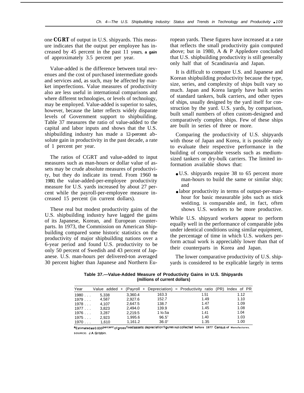one **CGRT** of output in U.S. shipyards. This measure indicates that the output per employee has increased by 45 percent in the past 11 years, **a gain** of approximately 3.5 percent per year.

Value-added is the difference between total revenues and the cost of purchased intermediate goods and services and, as such, may be affected by market imperfections. Value measures of productivity also are less useful in international comparisons and where different technologies, or levels of technology, may be employed. Value-added is superior to sales, however, because the latter reflects widely disparate levels of Government support to shipbuilding. Table 37 measures the ratio of value-added to the capital and labor inputs and shows that the U.S. shipbuilding industry has made a 12-percent absolute gain in productivity in the past decade, a rate of 1 percent per year.

The ratios of CGRT and value-added to input measures such as man-hours or dollar value of assets may be crude absolute measures of productivity, but they do indicate its trend. From 1960 **to** 1980, the value-added-per-employee productivity measure for U.S. yards increased by about 27 percent while the payroll-per-employee measure increased 15 percent (in current dollars).

These real but modest productivity gains of the U.S. shipbuilding industry have lagged the gains of its Japanese, Korean, and European counterparts. In 1973, the Commission on American Shipbuilding compared some historic statistics on the productivity of major shipbuilding nations over a 6-year period and found U.S. productivity to be only 50 percent of Swedish and 43 percent of Japanese. U.S. man-hours per delivered-ton averaged 30 percent higher than Japanese and Northern European yards. These figures have increased at a rate that reflects the small productivity gain computed above; but in 1980, A & P Appledore concluded that U.S. shipbuilding productivity is still generally only half that of Scandinavia and Japan.

It is difficult to compare U.S. and Japanese and Korean shipbuilding productivity because the type, size, series, and complexity of ships built vary so much. Japan and Korea largely have built series of standard tankers, bulk carriers, and other types of ships, usually designed by the yard itself for construction by the yard. U.S. yards, by comparison, built small numbers of often custom-designed and comparatively complex ships. Few of these ships are built in series of three or more.

Comparing the productivity of U.S. shipyards with those of Japan and Korea, it is possible only to evaluate their respective performance in the building of comparable vessels such as mediumsized tankers or dry-bulk carriers. The limited information available shows that:

- U.S. shipvards require 38 to 65 percent more man-hours to build the same or similar ship; and
- labor productivity in terms of output-per-manhour for basic measurable jobs such as stick welding, is comparable and, in fact, often shows U.S. workers to be more productive.

While U.S. shipyard workers appear to perform equally well in the performance of comparable jobs under identical conditions using similar equipment, the percentage of time in which U.S. workers perform actual work is appreciably lower than that of their counterparts in Korea and Japan.

The lower comparative productivity of U.S. shipyards is considered to be explicable largely in terms

**Table 37.—Value-Added Measure of Productivity Gains in U.S. Shipyards (millions of current dollars)**

| Year |       |         |                | Value added + (Payroll + Depreciation) = Productivity ratio (PR) | Index of PR |
|------|-------|---------|----------------|------------------------------------------------------------------|-------------|
| 1980 | 5.338 | 3,360.4 | 163.3          | 1.51                                                             | 1.12        |
| 1979 | 4.587 | 2,927.6 | 152.7          | 1.49                                                             | 1.10        |
| 1978 | 4.107 | 2,647.5 | 138.7          | 1.47                                                             | 1.09        |
| 1977 | 3.823 | 2.494.0 | 139.9          | 1.45                                                             | 1.08        |
| 1976 | 3.287 | 2,219.5 | 1 lo.5a        | 1.41                                                             | 1.04        |
| 1975 | 2.923 | 1.995.6 | $96.5^{\circ}$ | 1.40                                                             | 1.03        |
| 1970 | 1.610 | 1.161.2 | $36.0^{\circ}$ | 1.35                                                             | 1.00        |

aEstimated as 0.033 percent of gross fixed assets: depreciation figures not collected before 1977 Census of Manufactures. **SOURCE: J.A. Gribbin.**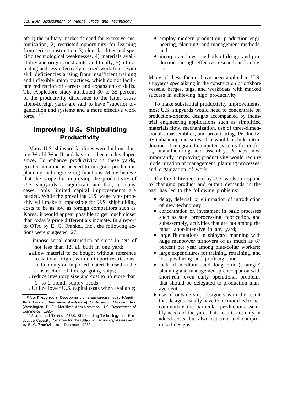of: 1) the military market demand for excessive customization, 2) restricted opportunity for learning from series construction, 3) older facilities and specific technological weaknesses, 4) materials availability and origin constraints, and finally, 5) a fluctuating and less effectively utilized work force, with skill deficiencies arising from insufficient training and inflexible union practices, which do not facilitate redirection of careers and expansion of skills. The Appledore study attributed 30 to 35 percent of the productivity difference to the latter cause alone-foreign yards are said to have "superior organization and systems and a more effective work force  $, 26$ 

## *Improving U.S. Shipbuilding Productivity*

Many U.S. shipyard facilities were laid out during World War II and have not been redeveloped since. To enhance productivity in these yards, greater attention is needed to integrate production planning and engineering functions. Many believe that the scope for improving the productivity of U.S. shipyards is significant and that, in many cases, only limited capital improvements are needed. While the prevailing U.S. wage rates probably will make it impossible for U.S. shipbuilding costs to be as low as foreign competitors such as Korea, it would appear possible to get much closer than today's price differentials indicate. In a report to OTA by E. G. Frankel, Inc., the following actions were suggested :27

- . impose serial construction of ships in sets of not less than 12, all built in one yard;
- allow material to be bought without reference to national origin, with no import restrictions, and no duty on imported materials used in the construction of foreign-going ships;
- . reduce inventory size and cost to no more than 1- to 2-month supply needs;
- . Utilize lower U.S. capital costs when available;

26A k P Appledore, *Development of a* **Standardized** *U.S.-Flag@- Bulk Carrier: Innovative Analysis of Cost-Cutting Opportunities* (Washington, D. C.: Maritime Administration, U.S. Department of Commerce, 1980).

- employ modern production, production engineering, planning, and management methods; and
- incorporate latest methods of design and production through effective research-and analysis.

Many of these factors have been applied in U.S. shipyards specializing in the construction of offshore vessels, barges, tugs, and workboats with marked success in achieving high productivity.

To make substantial productivity improvements, most U.S. shipyards would need to concentrate on production-oriented designs accompanied by industrial engineering applications such as simplified materials flow, mechanization, use of three-dimensional subassemblies, and preoutfitting. Productivity-enhancing measures also would include introduction of integrated computer systems for outfit $ti_{n}$ , manufacturing, and assembly. Perhaps most importantly, improving productivity would require modernization of management, planning processes, and organization of work.

The flexibility required by U.S. yards to respond to changing product and output demands in the past has led to the following problems:

- delay, deferral, or elimination of introduction of new technology;
- concentration on investment in basic processes such as steel preprocessing, fabrication, and subassembly, activities that are not among the most labor-intensive in any yard;
- large fluctuations in shipyard manning with huge manpower turnovers of as much as 67 percent per year among blue-collar workers;
- large expenditures for training, retraining, and lost posthiring and prefiring time;
- lack of medium- and long-term (strategic) planning and management preoccupation with short-run, even daily operational problems that should be delegated to production management;
- use of outside ship designers with the result that designs usually have to be modified to accommodate the particular production/assembly needs of the yard. This results not only in added costs, but also lost time and compromised designs;

<sup>&</sup>lt;sup>27</sup>" Status and Trends of U.S. Shipbuilding Technology and Productive Capacity, " written for the Office of Technology Assessment by E. G. Frankel, Inc., December 1982.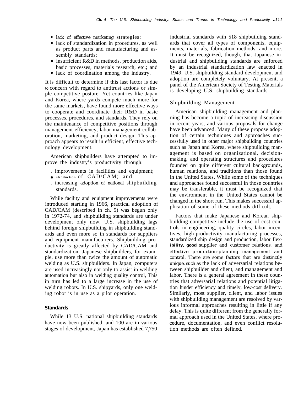- lack of effective marketing strategies;
- lack of standardization in procedures, as well as product parts and manufacturing and assembly standards;
- insufficient R&D in methods, production aids, basic processes, materials research, etc.; and
- lack of coordination among the industry.

It is difficult to determine if this last factor is due to concern with regard to antitrust actions or simple competitive posture. Yet countries like Japan and Korea, where yards compete much more for the same markets, have found more effective ways to cooperate and coordinate their R&D in basic processes, procedures, and standards. They rely on the maintenance of competitive positions through management efficiency, labor-management collaboration, marketing, and product design. This approach appears to result in efficient, effective technology development.

American shipbuilders have attempted to improve the industry's productivity through:

- . improvements in facilities and equipment;
- **introduction** of CAD/CAM; and
- . increasing adoption of national shipbuilding standards.

While facility and equipment improvements were introduced starting in 1966, practical adoption of CAD/CAM (described in ch. 5) was begun only in 1972-74, and shipbuilding standards are under development only now. U.S. shipbuilding lags behind foreign shipbuilding in shipbuilding standards and even more so in standards for suppliers and equipment manufacturers. Shipbuilding productivity is greatly affected by CAD/CAM and standardization. Japanese shipbuilders, for example, use more than twice the amount of automatic welding as U.S. shipbuilders. In Japan, computers are used increasingly not only to assist in welding automation but also in welding quality control, This in turn has led to a large increase in the use of welding robots. In U.S. shipyards, only one welding robot is in use as a pilot operation.

### **Standards**

While 13 U.S. national shipbuilding standards have now been published, and 100 are in various stages of development, Japan has established 7)750 industrial standards with 518 shipbuilding standards that cover all types of components, equipments, materials, fabrication methods, and more. It must be recognized, though, that Japanese industrial and shipbuilding standards are enforced by an industrial standardization law enacted in 1949. U.S. shipbuilding-standard development and adoption are completely voluntary. At present, a panel of the American Society of Testing Materials is developing U.S. shipbuilding standards.

### Shipbuilding Management

American shipbuilding management and planning has become a topic of increasing discussion in recent years, and various proposals for change have been advanced. Many of these propose adoption of certain techniques and approaches successfully used in other major shipbuilding countries such as Japan and Korea, where shipbuilding management is based on organizational, decisionmaking, and operating structures and procedures founded on quite different cultural backgrounds, human relations, and traditions than those found in the United States. While some of the techniques and approaches found successful in those countries may be transferable, it must be recognized that the environment in the United States cannot be changed in the short run. This makes successful application of some of these methods difficult.

Factors that make Japanese and Korean shipbuilding competitive include the use of cost controls in engineering, quality circles, labor incentives, high-productivity manufacturing processes, standardized ship design and production, labor flex**ibility, good** supplier and customer relations, and effective production-planning management and control. There are some factors that are distinctly unique, such as the lack of adversarial relations between shipbuilder and client, and management and labor. There is a general agreement in these countries that adversarial relations and potential litigation hinder efficiency and timely, low-cost delivery. Similarly, most supplier, client, and labor issues with shipbuilding management are resolved by various informal approaches resulting in little if any delay. This is quite different from the generally formal approach used in the United States, where procedure, documentation, and even conflict resolution methods are often defined.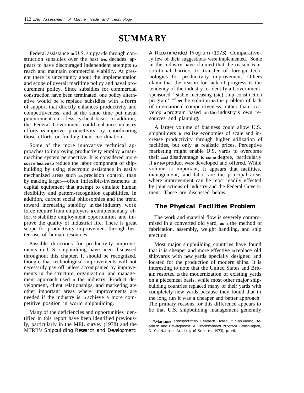# **SUMMARY**

Federal assistance **to** U.S. shipyards through construction subsidies over the past **two** decades appears to have discouraged independent attempts **to** reach and maintain commercial viability. At present there is uncertainty about the implementation and scope of overall maritime policy and naval procurement policy. Since subsidies for commercial construction have been terminated, one policy alternative would be to replace subsidies with **a** form of support that directly enhances productivity and competitiveness, and at the same time put naval procurement on a less cyclical basis. In addition, the Federal Government could enhance industry efforts **to** improve productivity by coordinating those efforts or funding their coordination.

Some of the more innovative technical approaches to improving productivity employ **a** manmachine system perspective. It is considered more **cost effective to** reduce the labor component of shipbuilding by using electronic assistance in easily mechanized areas such **as** precision control, than by making larger—often inflexible-investments in capital equipment that attempt to emulate human flexibility and pattern-recognition capabilities. In addition, current social philosophies and the trend toward increasing stability in the industry work force require from employers **a** complementary effort to stabilize employment opportunities and improve the quality of industrial life. There is great scope for productivity improvement through better use of human resources.

Possible directions for productivity improvements in U.S. shipbuilding have been discussed throughout this chapter. It should be recognized, though, that technological improvements will not necessarily pay off unless accompanied by improvements in the structure, organization, and management approach used in the industry. Product development, client relationships, and marketing are other important areas where improvements are needed if the industry is to achieve a more competitive position in world shipbuilding.

Many of the deficiencies and opportunities identified in this report have been identified previously, particularly in the MEL survey (1978) and the MTRB's *Shipbuilding Research and Development:* *A Recommended Program (1973).* Comparatively few of their suggestions were implemented. Some in the industry have claimed that the reason is institutional barriers to transfer of foreign technologies for productivity improvement. Others claim that the reason for lack of progress is the tendency of the industry to identify a Governmentsponsored ''stable increasing (sic) ship construction program' '<sup>28</sup> **as** the solution **to** the problem of lack of international competitiveness, rather than to develop **a** program based on the industry's own resources and planning.

A larger volume of business could allow U.S. shipbuilders to realize economies of scale and increase productivity through higher utilization of facilities, but only at realistic prices. Perceptive marketing might enable U.S. yards to overcome their cost disadvantage **to some** degree, particularly if **a new** product were developed and offered. While volume is important, it appears that facilities, management, and labor are the principal areas where improvement can be most readily effected by joint actions of industry and the Federal Government. These are discussed below.

### *The Physical Facilities Problem*

The work and material flow is severely compromised in a converted old yard, **as is** the method of fabrication, assembly, weight handling, and ship erection.

Most major shipbuilding countries have found that it is cheaper and more effective to replace old shipyards with new yards specially designed and located for the production of modern ships. It is interesting to note that the United States and Britain resorted to the modernization of existing yards on a piecemeal basis, while most other major shipbuilding countries replaced many of their yards with completely new yards because they found that in the long run it was a cheaper and better approach. The primary reasons for this difference appears to be that U.S. shipbuilding management generally

<sup>&</sup>lt;sup>28</sup>Maritime Transportation Research Board, "Shipbuilding Research and Development: A Recommended Program' (Washington, D. C.: National Academy of Sciences, 1973), p. vii.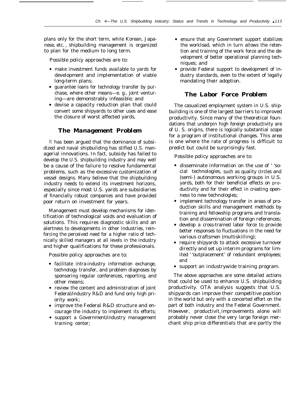plans only for the short term, while Korean, Japanese, etc. , shipbuilding management is organized to plan for the medium to long term.

Possible policy approaches are to:

- make investment funds available to yards for development and implementation of viable long-term plans;
- guarantee loans for technology transfer by purchase, where other means—e. g., joint venturing—are demonstrably infeasible; and
- devise a capacity reduction plan that could convert some shipyards to other uses and ease the closure of worst affected yards.

### *The Management Problem*

It has been argued that the dominance of subsidized and naval shipbuilding has stifled U.S. managerial innovations. In fact, subsidy has failed to develop the U.S. shipbuilding industry and may well be a cause of the failure to resolve fundamental problems, such as the excessive customization of vessel designs. Many believe that the shipbuilding industry needs to extend its investment horizons, especially since most U.S. yards are subsidiaries of financially robust companies and have provided poor return on investment for years.

Management must develop mechanisms for identification of technological voids and evaluation of solutions. This requires diagnostic skills and an alertness to developments in other industries, reinforcing the perceived need for a higher ratio of technically skilled managers at all levels in the industry and higher qualifications for these professionals.

Possible policy approaches are to:

- facilitate intra-industry information exchange, technology transfer, and problem diagnoses by sponsoring regular conferences, reporting, and other means;
- review the content and administration of joint Federal/industry R&D and fund only high priority work;
- improve the Federal R&D structure and encourage the industry to implement its efforts;
- support a Government/industry management training center;
- ensure that any Government support stabilizes the workload, which in turn allows the retention and training of the work force and the development of better operational planning techniques; and
- provide Federal support to development of industry standards, even to the extent of legally mandating their adoption.

### *The Labor Force Problem*

The casualized employment system in U.S. shipbuilding is one of the largest barriers to improved productivity. Since many of the theoretical foundations that underpin high foreign productivity are of U. S. origins, there is logically substantial scope for a program of institutional changes. This area is one where the rate of progress is difficult to predict but could be surprisingly fast.

Possible policy approaches are to:

- disseminate information on the use of ' 'social technologies, such as quality circles and (semi-) autonomous working groups in U.S. yards, both for their beneficial effects on productivity and for their effect in creating openness to new technologies;
- implement technology transfer in areas of production skills and management methods by training and fellowship programs and translation and dissemination of foreign references;
- develop a cross-trained labor force to provide better responses to fluctuations in the need for various craftsmen (multiskilling);
- require shipyards to attack excessive turnover directly and set up interim programs for limited ' 'outplacement' of redundant employees; and
- support an industrywide training program.

The above approaches are some detailed actions that could be used to enhance U.S. shipbuilding productivity. OTA analysis suggests that U.S. shipyards can improve their competitive position in the world but only with a concerted effort on the part of both industry and the Federal Government. However, productivit, improvements alone will probably never close the very large foreign merchant ship price differentials that are partly the